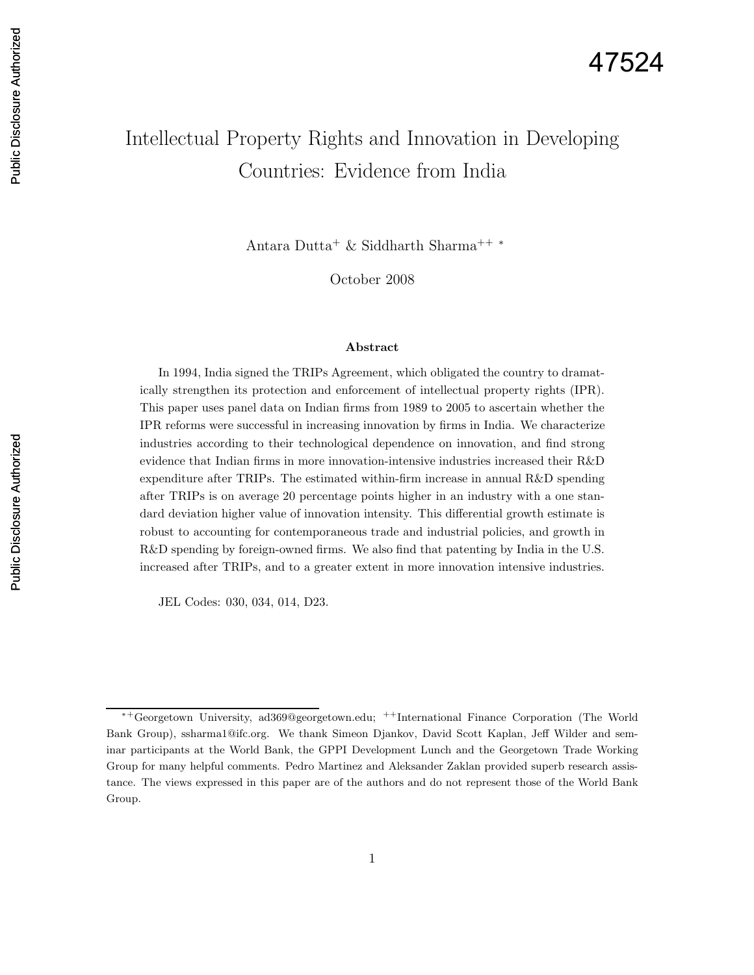# Intellectual Property Rights and Innovation in Developing Countries: Evidence from India

Antara Dutta<sup>+</sup> & Siddharth Sharma++ <sup>∗</sup>

October 2008

#### Abstract

In 1994, India signed the TRIPs Agreement, which obligated the country to dramatically strengthen its protection and enforcement of intellectual property rights (IPR). This paper uses panel data on Indian firms from 1989 to 2005 to ascertain whether the IPR reforms were successful in increasing innovation by firms in India. We characterize industries according to their technological dependence on innovation, and find strong evidence that Indian firms in more innovation-intensive industries increased their R&D expenditure after TRIPs. The estimated within-firm increase in annual R&D spending after TRIPs is on average 20 percentage points higher in an industry with a one standard deviation higher value of innovation intensity. This differential growth estimate is robust to accounting for contemporaneous trade and industrial policies, and growth in R&D spending by foreign-owned firms. We also find that patenting by India in the U.S. increased after TRIPs, and to a greater extent in more innovation intensive industries.

JEL Codes: 030, 034, 014, D23.

<sup>∗</sup><sup>+</sup>Georgetown University, ad369@georgetown.edu; ++International Finance Corporation (The World Bank Group), ssharma1@ifc.org. We thank Simeon Djankov, David Scott Kaplan, Jeff Wilder and seminar participants at the World Bank, the GPPI Development Lunch and the Georgetown Trade Working Group for many helpful comments. Pedro Martinez and Aleksander Zaklan provided superb research assistance. The views expressed in this paper are of the authors and do not represent those of the World Bank Group.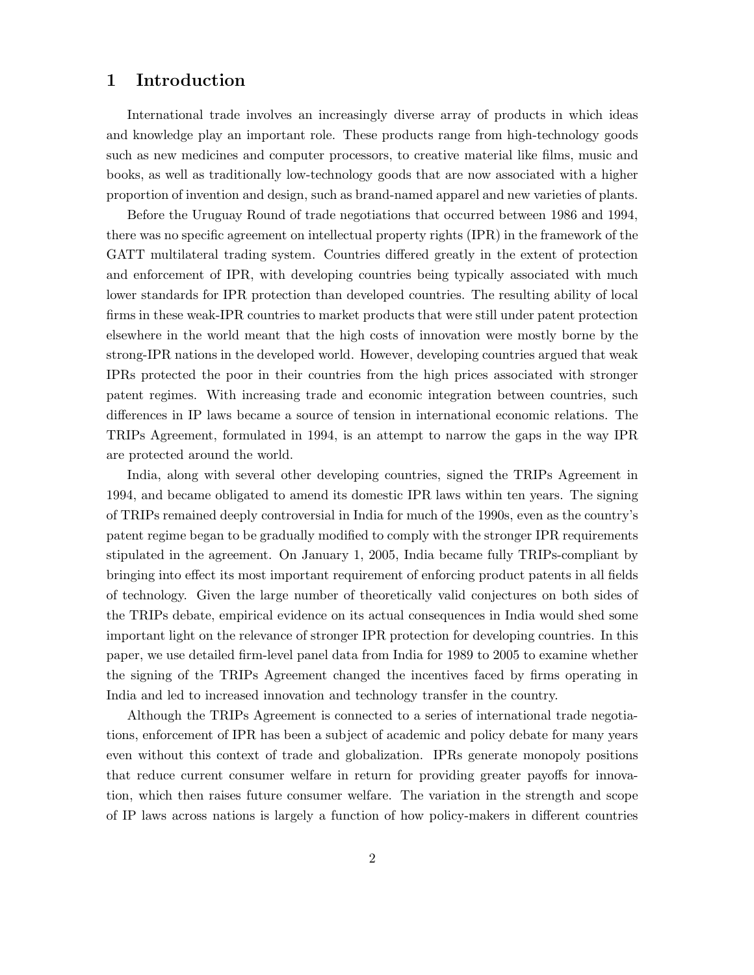# 1 Introduction

International trade involves an increasingly diverse array of products in which ideas and knowledge play an important role. These products range from high-technology goods such as new medicines and computer processors, to creative material like films, music and books, as well as traditionally low-technology goods that are now associated with a higher proportion of invention and design, such as brand-named apparel and new varieties of plants.

Before the Uruguay Round of trade negotiations that occurred between 1986 and 1994, there was no specific agreement on intellectual property rights (IPR) in the framework of the GATT multilateral trading system. Countries differed greatly in the extent of protection and enforcement of IPR, with developing countries being typically associated with much lower standards for IPR protection than developed countries. The resulting ability of local firms in these weak-IPR countries to market products that were still under patent protection elsewhere in the world meant that the high costs of innovation were mostly borne by the strong-IPR nations in the developed world. However, developing countries argued that weak IPRs protected the poor in their countries from the high prices associated with stronger patent regimes. With increasing trade and economic integration between countries, such differences in IP laws became a source of tension in international economic relations. The TRIPs Agreement, formulated in 1994, is an attempt to narrow the gaps in the way IPR are protected around the world.

India, along with several other developing countries, signed the TRIPs Agreement in 1994, and became obligated to amend its domestic IPR laws within ten years. The signing of TRIPs remained deeply controversial in India for much of the 1990s, even as the country's patent regime began to be gradually modified to comply with the stronger IPR requirements stipulated in the agreement. On January 1, 2005, India became fully TRIPs-compliant by bringing into effect its most important requirement of enforcing product patents in all fields of technology. Given the large number of theoretically valid conjectures on both sides of the TRIPs debate, empirical evidence on its actual consequences in India would shed some important light on the relevance of stronger IPR protection for developing countries. In this paper, we use detailed firm-level panel data from India for 1989 to 2005 to examine whether the signing of the TRIPs Agreement changed the incentives faced by firms operating in India and led to increased innovation and technology transfer in the country.

Although the TRIPs Agreement is connected to a series of international trade negotiations, enforcement of IPR has been a subject of academic and policy debate for many years even without this context of trade and globalization. IPRs generate monopoly positions that reduce current consumer welfare in return for providing greater payoffs for innovation, which then raises future consumer welfare. The variation in the strength and scope of IP laws across nations is largely a function of how policy-makers in different countries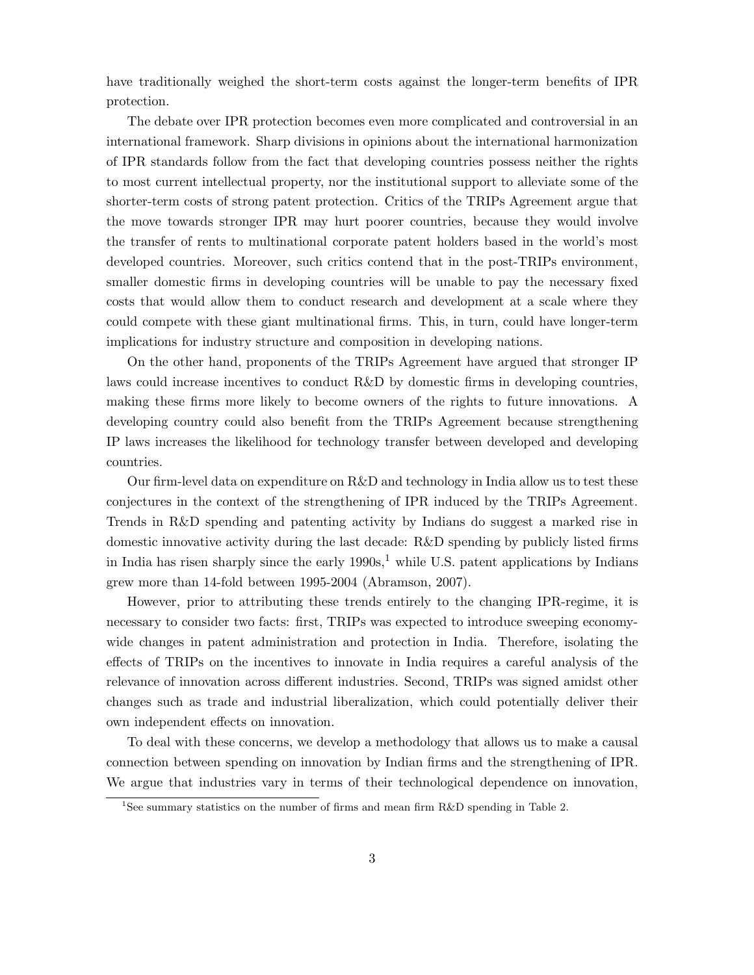have traditionally weighed the short-term costs against the longer-term benefits of IPR protection.

The debate over IPR protection becomes even more complicated and controversial in an international framework. Sharp divisions in opinions about the international harmonization of IPR standards follow from the fact that developing countries possess neither the rights to most current intellectual property, nor the institutional support to alleviate some of the shorter-term costs of strong patent protection. Critics of the TRIPs Agreement argue that the move towards stronger IPR may hurt poorer countries, because they would involve the transfer of rents to multinational corporate patent holders based in the world's most developed countries. Moreover, such critics contend that in the post-TRIPs environment, smaller domestic firms in developing countries will be unable to pay the necessary fixed costs that would allow them to conduct research and development at a scale where they could compete with these giant multinational firms. This, in turn, could have longer-term implications for industry structure and composition in developing nations.

On the other hand, proponents of the TRIPs Agreement have argued that stronger IP laws could increase incentives to conduct R&D by domestic firms in developing countries, making these firms more likely to become owners of the rights to future innovations. A developing country could also benefit from the TRIPs Agreement because strengthening IP laws increases the likelihood for technology transfer between developed and developing countries.

Our firm-level data on expenditure on R&D and technology in India allow us to test these conjectures in the context of the strengthening of IPR induced by the TRIPs Agreement. Trends in R&D spending and patenting activity by Indians do suggest a marked rise in domestic innovative activity during the last decade: R&D spending by publicly listed firms in India has risen sharply since the early  $1990s<sup>1</sup>$ , while U.S. patent applications by Indians grew more than 14-fold between 1995-2004 (Abramson, 2007).

However, prior to attributing these trends entirely to the changing IPR-regime, it is necessary to consider two facts: first, TRIPs was expected to introduce sweeping economywide changes in patent administration and protection in India. Therefore, isolating the effects of TRIPs on the incentives to innovate in India requires a careful analysis of the relevance of innovation across different industries. Second, TRIPs was signed amidst other changes such as trade and industrial liberalization, which could potentially deliver their own independent effects on innovation.

To deal with these concerns, we develop a methodology that allows us to make a causal connection between spending on innovation by Indian firms and the strengthening of IPR. We argue that industries vary in terms of their technological dependence on innovation,

<sup>&</sup>lt;sup>1</sup>See summary statistics on the number of firms and mean firm R&D spending in Table 2.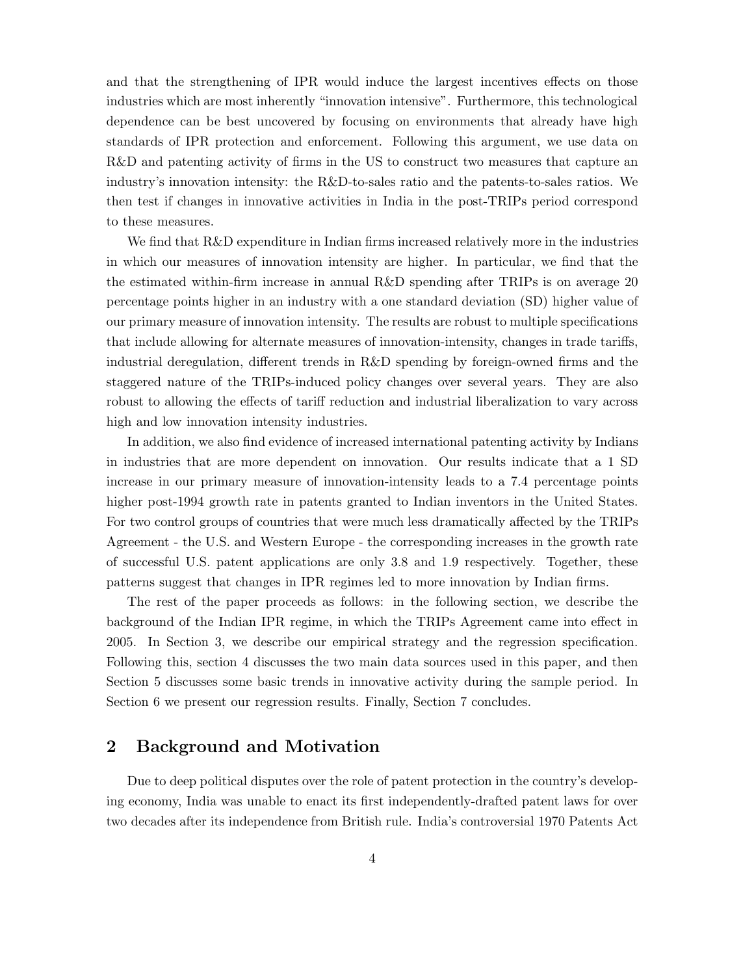and that the strengthening of IPR would induce the largest incentives effects on those industries which are most inherently "innovation intensive". Furthermore, this technological dependence can be best uncovered by focusing on environments that already have high standards of IPR protection and enforcement. Following this argument, we use data on R&D and patenting activity of firms in the US to construct two measures that capture an industry's innovation intensity: the R&D-to-sales ratio and the patents-to-sales ratios. We then test if changes in innovative activities in India in the post-TRIPs period correspond to these measures.

We find that  $R\&D$  expenditure in Indian firms increased relatively more in the industries in which our measures of innovation intensity are higher. In particular, we find that the the estimated within-firm increase in annual R&D spending after TRIPs is on average 20 percentage points higher in an industry with a one standard deviation (SD) higher value of our primary measure of innovation intensity. The results are robust to multiple specifications that include allowing for alternate measures of innovation-intensity, changes in trade tariffs, industrial deregulation, different trends in R&D spending by foreign-owned firms and the staggered nature of the TRIPs-induced policy changes over several years. They are also robust to allowing the effects of tariff reduction and industrial liberalization to vary across high and low innovation intensity industries.

In addition, we also find evidence of increased international patenting activity by Indians in industries that are more dependent on innovation. Our results indicate that a 1 SD increase in our primary measure of innovation-intensity leads to a 7.4 percentage points higher post-1994 growth rate in patents granted to Indian inventors in the United States. For two control groups of countries that were much less dramatically affected by the TRIPs Agreement - the U.S. and Western Europe - the corresponding increases in the growth rate of successful U.S. patent applications are only 3.8 and 1.9 respectively. Together, these patterns suggest that changes in IPR regimes led to more innovation by Indian firms.

The rest of the paper proceeds as follows: in the following section, we describe the background of the Indian IPR regime, in which the TRIPs Agreement came into effect in 2005. In Section 3, we describe our empirical strategy and the regression specification. Following this, section 4 discusses the two main data sources used in this paper, and then Section 5 discusses some basic trends in innovative activity during the sample period. In Section 6 we present our regression results. Finally, Section 7 concludes.

# 2 Background and Motivation

Due to deep political disputes over the role of patent protection in the country's developing economy, India was unable to enact its first independently-drafted patent laws for over two decades after its independence from British rule. India's controversial 1970 Patents Act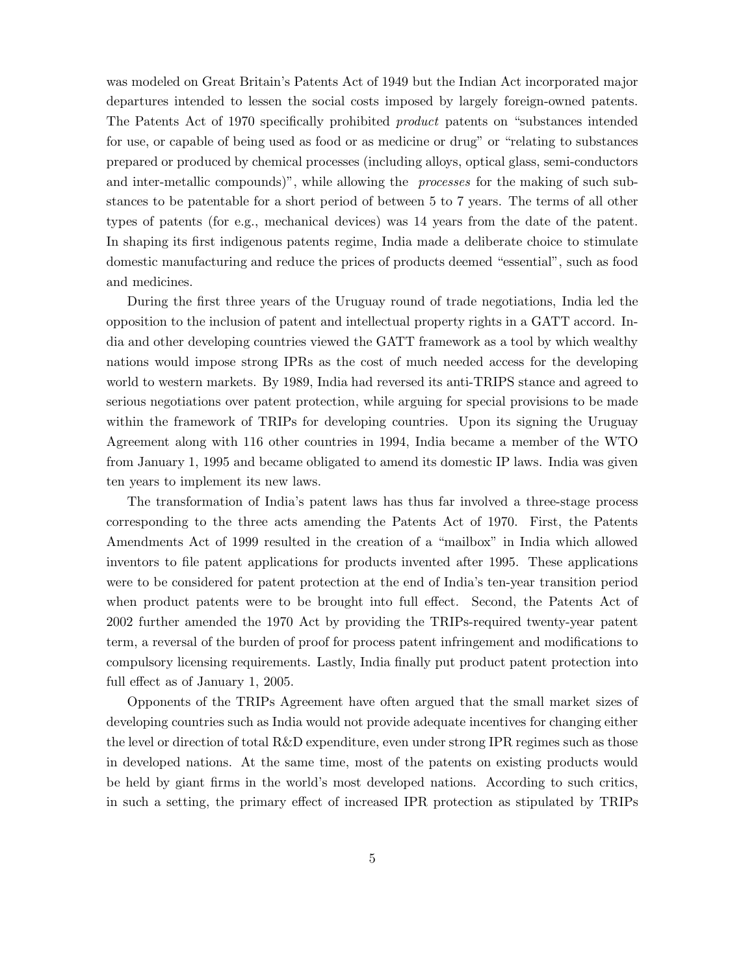was modeled on Great Britain's Patents Act of 1949 but the Indian Act incorporated major departures intended to lessen the social costs imposed by largely foreign-owned patents. The Patents Act of 1970 specifically prohibited product patents on "substances intended for use, or capable of being used as food or as medicine or drug" or "relating to substances prepared or produced by chemical processes (including alloys, optical glass, semi-conductors and inter-metallic compounds)", while allowing the *processes* for the making of such substances to be patentable for a short period of between 5 to 7 years. The terms of all other types of patents (for e.g., mechanical devices) was 14 years from the date of the patent. In shaping its first indigenous patents regime, India made a deliberate choice to stimulate domestic manufacturing and reduce the prices of products deemed "essential", such as food and medicines.

During the first three years of the Uruguay round of trade negotiations, India led the opposition to the inclusion of patent and intellectual property rights in a GATT accord. India and other developing countries viewed the GATT framework as a tool by which wealthy nations would impose strong IPRs as the cost of much needed access for the developing world to western markets. By 1989, India had reversed its anti-TRIPS stance and agreed to serious negotiations over patent protection, while arguing for special provisions to be made within the framework of TRIPs for developing countries. Upon its signing the Uruguay Agreement along with 116 other countries in 1994, India became a member of the WTO from January 1, 1995 and became obligated to amend its domestic IP laws. India was given ten years to implement its new laws.

The transformation of India's patent laws has thus far involved a three-stage process corresponding to the three acts amending the Patents Act of 1970. First, the Patents Amendments Act of 1999 resulted in the creation of a "mailbox" in India which allowed inventors to file patent applications for products invented after 1995. These applications were to be considered for patent protection at the end of India's ten-year transition period when product patents were to be brought into full effect. Second, the Patents Act of 2002 further amended the 1970 Act by providing the TRIPs-required twenty-year patent term, a reversal of the burden of proof for process patent infringement and modifications to compulsory licensing requirements. Lastly, India finally put product patent protection into full effect as of January 1, 2005.

Opponents of the TRIPs Agreement have often argued that the small market sizes of developing countries such as India would not provide adequate incentives for changing either the level or direction of total R&D expenditure, even under strong IPR regimes such as those in developed nations. At the same time, most of the patents on existing products would be held by giant firms in the world's most developed nations. According to such critics, in such a setting, the primary effect of increased IPR protection as stipulated by TRIPs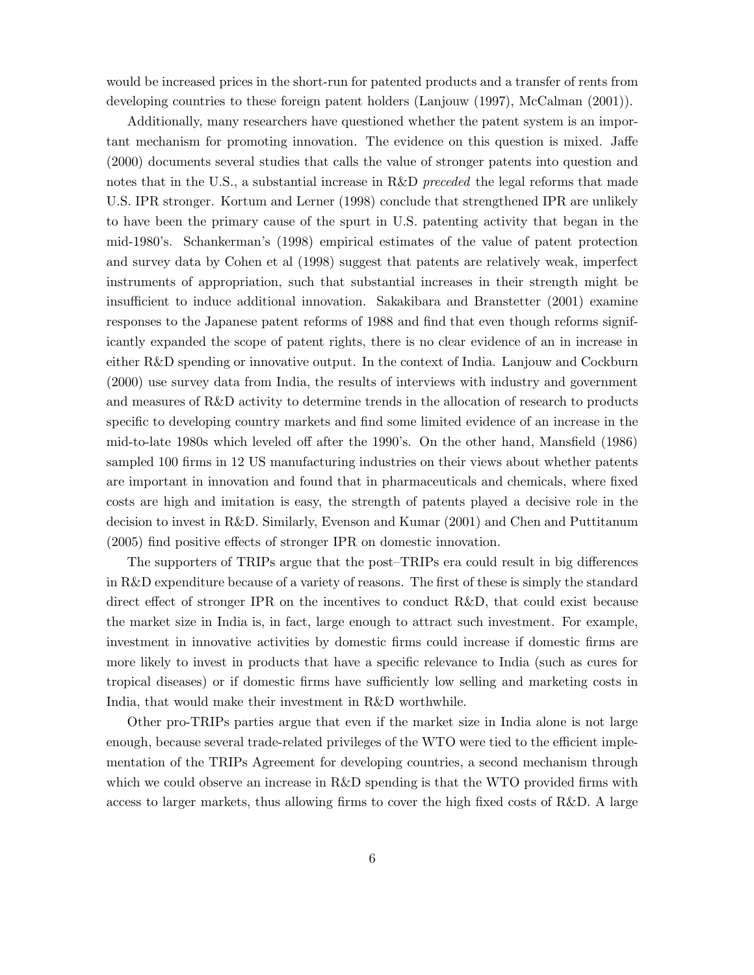would be increased prices in the short-run for patented products and a transfer of rents from developing countries to these foreign patent holders (Lanjouw (1997), McCalman (2001)).

Additionally, many researchers have questioned whether the patent system is an important mechanism for promoting innovation. The evidence on this question is mixed. Jaffe (2000) documents several studies that calls the value of stronger patents into question and notes that in the U.S., a substantial increase in R&D *preceded* the legal reforms that made U.S. IPR stronger. Kortum and Lerner (1998) conclude that strengthened IPR are unlikely to have been the primary cause of the spurt in U.S. patenting activity that began in the mid-1980's. Schankerman's (1998) empirical estimates of the value of patent protection and survey data by Cohen et al (1998) suggest that patents are relatively weak, imperfect instruments of appropriation, such that substantial increases in their strength might be insufficient to induce additional innovation. Sakakibara and Branstetter (2001) examine responses to the Japanese patent reforms of 1988 and find that even though reforms significantly expanded the scope of patent rights, there is no clear evidence of an in increase in either R&D spending or innovative output. In the context of India. Lanjouw and Cockburn (2000) use survey data from India, the results of interviews with industry and government and measures of R&D activity to determine trends in the allocation of research to products specific to developing country markets and find some limited evidence of an increase in the mid-to-late 1980s which leveled off after the 1990's. On the other hand, Mansfield (1986) sampled 100 firms in 12 US manufacturing industries on their views about whether patents are important in innovation and found that in pharmaceuticals and chemicals, where fixed costs are high and imitation is easy, the strength of patents played a decisive role in the decision to invest in R&D. Similarly, Evenson and Kumar (2001) and Chen and Puttitanum (2005) find positive effects of stronger IPR on domestic innovation.

The supporters of TRIPs argue that the post–TRIPs era could result in big differences in R&D expenditure because of a variety of reasons. The first of these is simply the standard direct effect of stronger IPR on the incentives to conduct R&D, that could exist because the market size in India is, in fact, large enough to attract such investment. For example, investment in innovative activities by domestic firms could increase if domestic firms are more likely to invest in products that have a specific relevance to India (such as cures for tropical diseases) or if domestic firms have sufficiently low selling and marketing costs in India, that would make their investment in R&D worthwhile.

Other pro-TRIPs parties argue that even if the market size in India alone is not large enough, because several trade-related privileges of the WTO were tied to the efficient implementation of the TRIPs Agreement for developing countries, a second mechanism through which we could observe an increase in R&D spending is that the WTO provided firms with access to larger markets, thus allowing firms to cover the high fixed costs of R&D. A large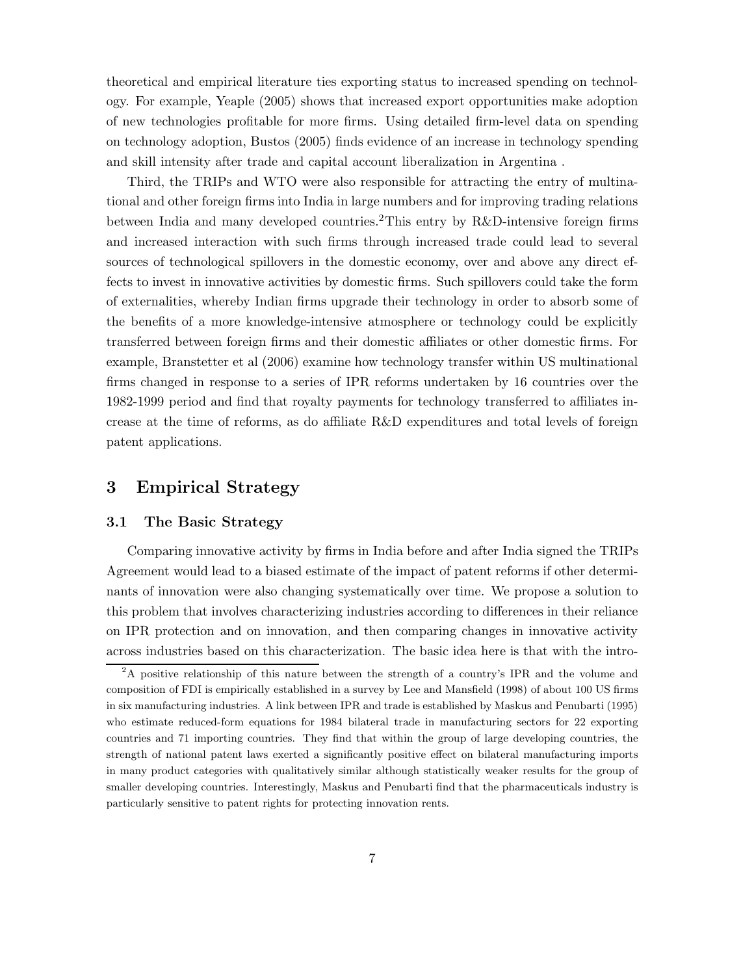theoretical and empirical literature ties exporting status to increased spending on technology. For example, Yeaple (2005) shows that increased export opportunities make adoption of new technologies profitable for more firms. Using detailed firm-level data on spending on technology adoption, Bustos (2005) finds evidence of an increase in technology spending and skill intensity after trade and capital account liberalization in Argentina .

Third, the TRIPs and WTO were also responsible for attracting the entry of multinational and other foreign firms into India in large numbers and for improving trading relations between India and many developed countries.2This entry by R&D-intensive foreign firms and increased interaction with such firms through increased trade could lead to several sources of technological spillovers in the domestic economy, over and above any direct effects to invest in innovative activities by domestic firms. Such spillovers could take the form of externalities, whereby Indian firms upgrade their technology in order to absorb some of the benefits of a more knowledge-intensive atmosphere or technology could be explicitly transferred between foreign firms and their domestic affiliates or other domestic firms. For example, Branstetter et al (2006) examine how technology transfer within US multinational firms changed in response to a series of IPR reforms undertaken by 16 countries over the 1982-1999 period and find that royalty payments for technology transferred to affiliates increase at the time of reforms, as do affiliate R&D expenditures and total levels of foreign patent applications.

## 3 Empirical Strategy

## 3.1 The Basic Strategy

Comparing innovative activity by firms in India before and after India signed the TRIPs Agreement would lead to a biased estimate of the impact of patent reforms if other determinants of innovation were also changing systematically over time. We propose a solution to this problem that involves characterizing industries according to differences in their reliance on IPR protection and on innovation, and then comparing changes in innovative activity across industries based on this characterization. The basic idea here is that with the intro-

<sup>&</sup>lt;sup>2</sup>A positive relationship of this nature between the strength of a country's IPR and the volume and composition of FDI is empirically established in a survey by Lee and Mansfield (1998) of about 100 US firms in six manufacturing industries. A link between IPR and trade is established by Maskus and Penubarti (1995) who estimate reduced-form equations for 1984 bilateral trade in manufacturing sectors for 22 exporting countries and 71 importing countries. They find that within the group of large developing countries, the strength of national patent laws exerted a significantly positive effect on bilateral manufacturing imports in many product categories with qualitatively similar although statistically weaker results for the group of smaller developing countries. Interestingly, Maskus and Penubarti find that the pharmaceuticals industry is particularly sensitive to patent rights for protecting innovation rents.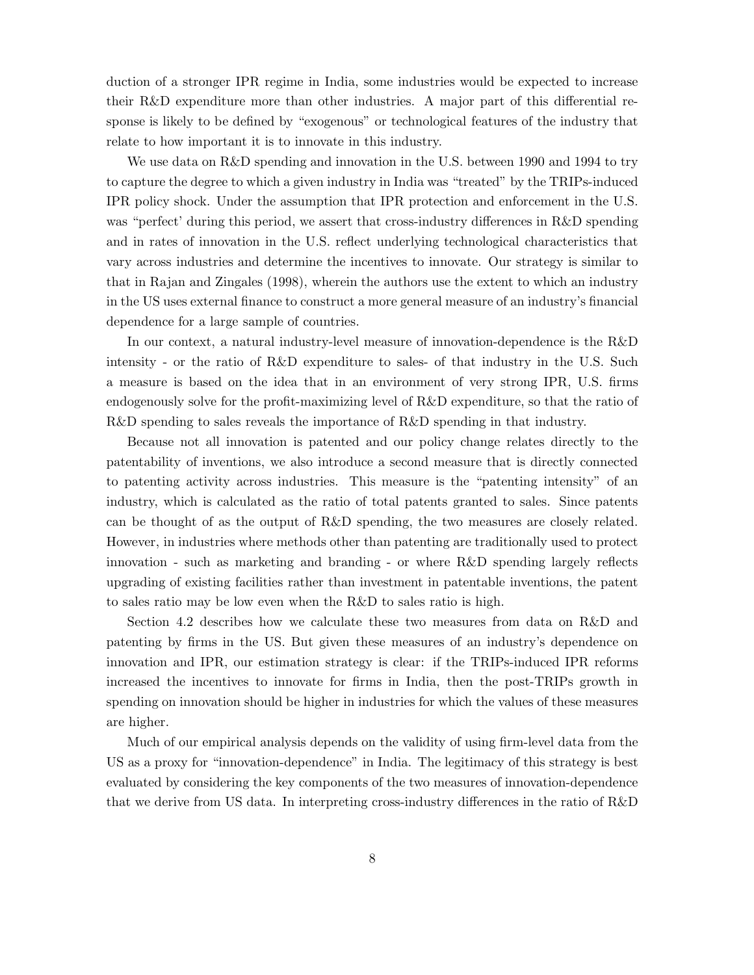duction of a stronger IPR regime in India, some industries would be expected to increase their R&D expenditure more than other industries. A major part of this differential response is likely to be defined by "exogenous" or technological features of the industry that relate to how important it is to innovate in this industry.

We use data on R&D spending and innovation in the U.S. between 1990 and 1994 to try to capture the degree to which a given industry in India was "treated" by the TRIPs-induced IPR policy shock. Under the assumption that IPR protection and enforcement in the U.S. was "perfect' during this period, we assert that cross-industry differences in R&D spending and in rates of innovation in the U.S. reflect underlying technological characteristics that vary across industries and determine the incentives to innovate. Our strategy is similar to that in Rajan and Zingales (1998), wherein the authors use the extent to which an industry in the US uses external finance to construct a more general measure of an industry's financial dependence for a large sample of countries.

In our context, a natural industry-level measure of innovation-dependence is the R&D intensity - or the ratio of R&D expenditure to sales- of that industry in the U.S. Such a measure is based on the idea that in an environment of very strong IPR, U.S. firms endogenously solve for the profit-maximizing level of R&D expenditure, so that the ratio of R&D spending to sales reveals the importance of R&D spending in that industry.

Because not all innovation is patented and our policy change relates directly to the patentability of inventions, we also introduce a second measure that is directly connected to patenting activity across industries. This measure is the "patenting intensity" of an industry, which is calculated as the ratio of total patents granted to sales. Since patents can be thought of as the output of R&D spending, the two measures are closely related. However, in industries where methods other than patenting are traditionally used to protect innovation - such as marketing and branding - or where R&D spending largely reflects upgrading of existing facilities rather than investment in patentable inventions, the patent to sales ratio may be low even when the R&D to sales ratio is high.

Section 4.2 describes how we calculate these two measures from data on R&D and patenting by firms in the US. But given these measures of an industry's dependence on innovation and IPR, our estimation strategy is clear: if the TRIPs-induced IPR reforms increased the incentives to innovate for firms in India, then the post-TRIPs growth in spending on innovation should be higher in industries for which the values of these measures are higher.

Much of our empirical analysis depends on the validity of using firm-level data from the US as a proxy for "innovation-dependence" in India. The legitimacy of this strategy is best evaluated by considering the key components of the two measures of innovation-dependence that we derive from US data. In interpreting cross-industry differences in the ratio of R&D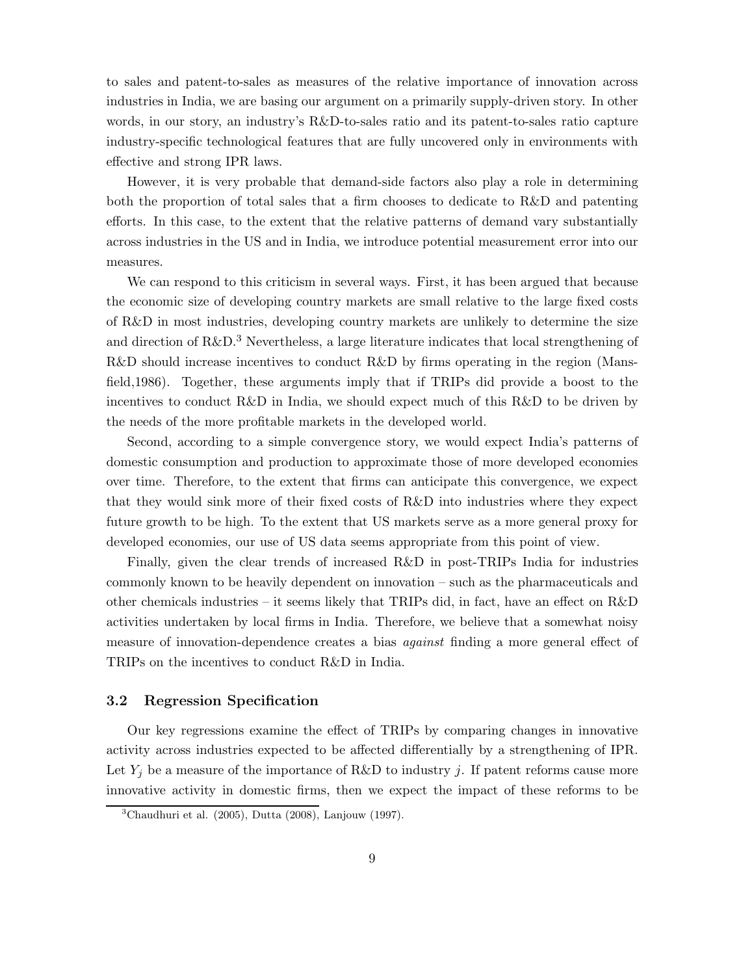to sales and patent-to-sales as measures of the relative importance of innovation across industries in India, we are basing our argument on a primarily supply-driven story. In other words, in our story, an industry's R&D-to-sales ratio and its patent-to-sales ratio capture industry-specific technological features that are fully uncovered only in environments with effective and strong IPR laws.

However, it is very probable that demand-side factors also play a role in determining both the proportion of total sales that a firm chooses to dedicate to R&D and patenting efforts. In this case, to the extent that the relative patterns of demand vary substantially across industries in the US and in India, we introduce potential measurement error into our measures.

We can respond to this criticism in several ways. First, it has been argued that because the economic size of developing country markets are small relative to the large fixed costs of R&D in most industries, developing country markets are unlikely to determine the size and direction of R&D.<sup>3</sup> Nevertheless, a large literature indicates that local strengthening of R&D should increase incentives to conduct R&D by firms operating in the region (Mansfield,1986). Together, these arguments imply that if TRIPs did provide a boost to the incentives to conduct R&D in India, we should expect much of this R&D to be driven by the needs of the more profitable markets in the developed world.

Second, according to a simple convergence story, we would expect India's patterns of domestic consumption and production to approximate those of more developed economies over time. Therefore, to the extent that firms can anticipate this convergence, we expect that they would sink more of their fixed costs of R&D into industries where they expect future growth to be high. To the extent that US markets serve as a more general proxy for developed economies, our use of US data seems appropriate from this point of view.

Finally, given the clear trends of increased R&D in post-TRIPs India for industries commonly known to be heavily dependent on innovation – such as the pharmaceuticals and other chemicals industries – it seems likely that TRIPs did, in fact, have an effect on R&D activities undertaken by local firms in India. Therefore, we believe that a somewhat noisy measure of innovation-dependence creates a bias *against* finding a more general effect of TRIPs on the incentives to conduct R&D in India.

## 3.2 Regression Specification

Our key regressions examine the effect of TRIPs by comparing changes in innovative activity across industries expected to be affected differentially by a strengthening of IPR. Let  $Y_j$  be a measure of the importance of R&D to industry j. If patent reforms cause more innovative activity in domestic firms, then we expect the impact of these reforms to be

<sup>&</sup>lt;sup>3</sup>Chaudhuri et al.  $(2005)$ , Dutta  $(2008)$ , Lanjouw  $(1997)$ .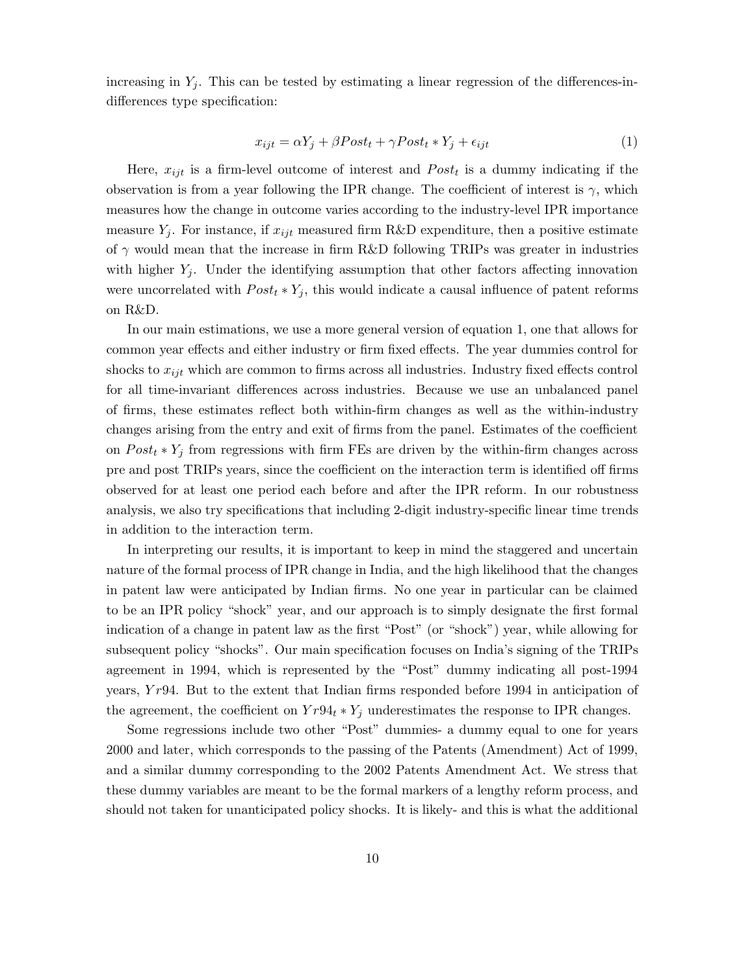increasing in  $Y_i$ . This can be tested by estimating a linear regression of the differences-indifferences type specification:

$$
x_{ijt} = \alpha Y_j + \beta Post_t + \gamma Post_t * Y_j + \epsilon_{ijt}
$$
\n<sup>(1)</sup>

Here,  $x_{ijt}$  is a firm-level outcome of interest and  $Post_t$  is a dummy indicating if the observation is from a year following the IPR change. The coefficient of interest is  $\gamma$ , which measures how the change in outcome varies according to the industry-level IPR importance measure  $Y_i$ . For instance, if  $x_{ijt}$  measured firm R&D expenditure, then a positive estimate of  $\gamma$  would mean that the increase in firm R&D following TRIPs was greater in industries with higher  $Y_i$ . Under the identifying assumption that other factors affecting innovation were uncorrelated with  $Post_t * Y_j$ , this would indicate a causal influence of patent reforms on R&D.

In our main estimations, we use a more general version of equation 1, one that allows for common year effects and either industry or firm fixed effects. The year dummies control for shocks to  $x_{ijt}$  which are common to firms across all industries. Industry fixed effects control for all time-invariant differences across industries. Because we use an unbalanced panel of firms, these estimates reflect both within-firm changes as well as the within-industry changes arising from the entry and exit of firms from the panel. Estimates of the coefficient on  $Post_t * Y_j$  from regressions with firm FEs are driven by the within-firm changes across pre and post TRIPs years, since the coefficient on the interaction term is identified off firms observed for at least one period each before and after the IPR reform. In our robustness analysis, we also try specifications that including 2-digit industry-specific linear time trends in addition to the interaction term.

In interpreting our results, it is important to keep in mind the staggered and uncertain nature of the formal process of IPR change in India, and the high likelihood that the changes in patent law were anticipated by Indian firms. No one year in particular can be claimed to be an IPR policy "shock" year, and our approach is to simply designate the first formal indication of a change in patent law as the first "Post" (or "shock") year, while allowing for subsequent policy "shocks". Our main specification focuses on India's signing of the TRIPs agreement in 1994, which is represented by the "Post" dummy indicating all post-1994 years,  $Yr94$ . But to the extent that Indian firms responded before 1994 in anticipation of the agreement, the coefficient on  $Y r94_t * Y_j$  underestimates the response to IPR changes.

Some regressions include two other "Post" dummies- a dummy equal to one for years 2000 and later, which corresponds to the passing of the Patents (Amendment) Act of 1999, and a similar dummy corresponding to the 2002 Patents Amendment Act. We stress that these dummy variables are meant to be the formal markers of a lengthy reform process, and should not taken for unanticipated policy shocks. It is likely- and this is what the additional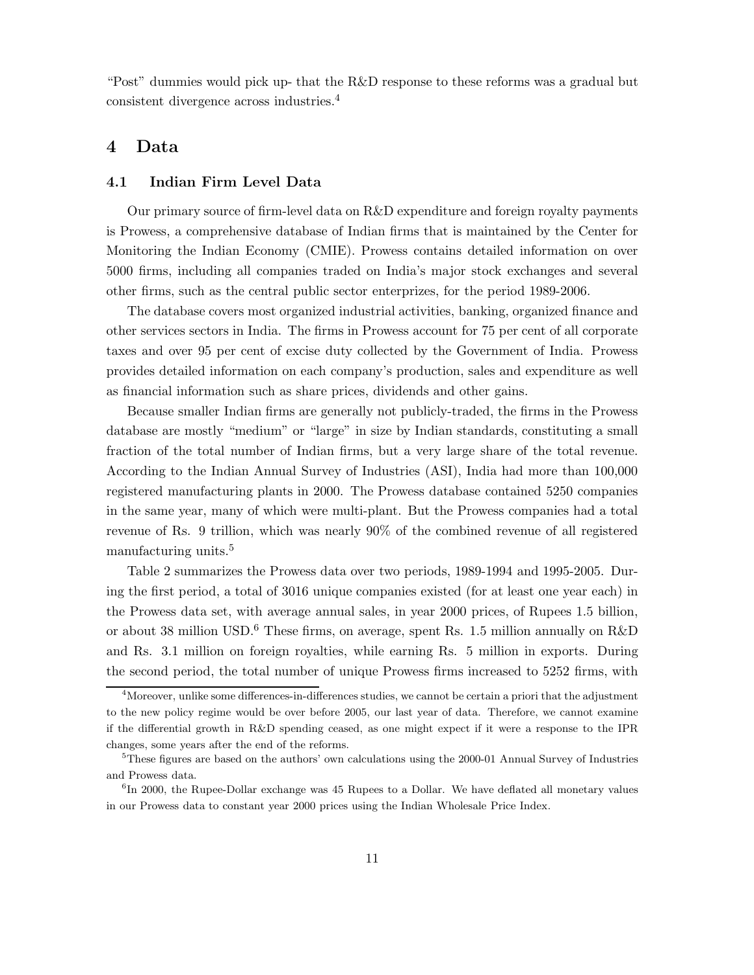"Post" dummies would pick up- that the R&D response to these reforms was a gradual but consistent divergence across industries.<sup>4</sup>

## 4 Data

## 4.1 Indian Firm Level Data

Our primary source of firm-level data on R&D expenditure and foreign royalty payments is Prowess, a comprehensive database of Indian firms that is maintained by the Center for Monitoring the Indian Economy (CMIE). Prowess contains detailed information on over 5000 firms, including all companies traded on India's major stock exchanges and several other firms, such as the central public sector enterprizes, for the period 1989-2006.

The database covers most organized industrial activities, banking, organized finance and other services sectors in India. The firms in Prowess account for 75 per cent of all corporate taxes and over 95 per cent of excise duty collected by the Government of India. Prowess provides detailed information on each company's production, sales and expenditure as well as financial information such as share prices, dividends and other gains.

Because smaller Indian firms are generally not publicly-traded, the firms in the Prowess database are mostly "medium" or "large" in size by Indian standards, constituting a small fraction of the total number of Indian firms, but a very large share of the total revenue. According to the Indian Annual Survey of Industries (ASI), India had more than 100,000 registered manufacturing plants in 2000. The Prowess database contained 5250 companies in the same year, many of which were multi-plant. But the Prowess companies had a total revenue of Rs. 9 trillion, which was nearly 90% of the combined revenue of all registered manufacturing units.<sup>5</sup>

Table 2 summarizes the Prowess data over two periods, 1989-1994 and 1995-2005. During the first period, a total of 3016 unique companies existed (for at least one year each) in the Prowess data set, with average annual sales, in year 2000 prices, of Rupees 1.5 billion, or about 38 million USD.<sup>6</sup> These firms, on average, spent Rs. 1.5 million annually on R&D and Rs. 3.1 million on foreign royalties, while earning Rs. 5 million in exports. During the second period, the total number of unique Prowess firms increased to 5252 firms, with

<sup>&</sup>lt;sup>4</sup>Moreover, unlike some differences-in-differences studies, we cannot be certain a priori that the adjustment to the new policy regime would be over before 2005, our last year of data. Therefore, we cannot examine if the differential growth in R&D spending ceased, as one might expect if it were a response to the IPR changes, some years after the end of the reforms.

<sup>5</sup>These figures are based on the authors' own calculations using the 2000-01 Annual Survey of Industries and Prowess data.

<sup>&</sup>lt;sup>6</sup>In 2000, the Rupee-Dollar exchange was 45 Rupees to a Dollar. We have deflated all monetary values in our Prowess data to constant year 2000 prices using the Indian Wholesale Price Index.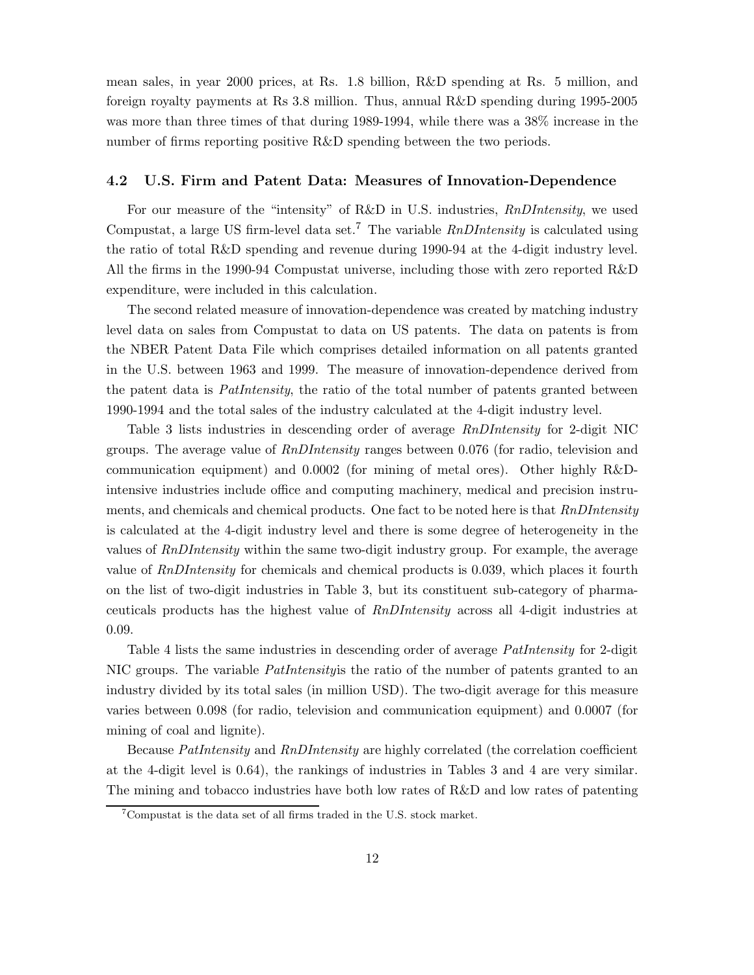mean sales, in year 2000 prices, at Rs. 1.8 billion, R&D spending at Rs. 5 million, and foreign royalty payments at Rs 3.8 million. Thus, annual R&D spending during 1995-2005 was more than three times of that during 1989-1994, while there was a 38% increase in the number of firms reporting positive R&D spending between the two periods.

## 4.2 U.S. Firm and Patent Data: Measures of Innovation-Dependence

For our measure of the "intensity" of R&D in U.S. industries, RnDIntensity, we used Compustat, a large US firm-level data set.<sup>7</sup> The variable  $RnDIntensity$  is calculated using the ratio of total R&D spending and revenue during 1990-94 at the 4-digit industry level. All the firms in the 1990-94 Compustat universe, including those with zero reported R&D expenditure, were included in this calculation.

The second related measure of innovation-dependence was created by matching industry level data on sales from Compustat to data on US patents. The data on patents is from the NBER Patent Data File which comprises detailed information on all patents granted in the U.S. between 1963 and 1999. The measure of innovation-dependence derived from the patent data is PatIntensity, the ratio of the total number of patents granted between 1990-1994 and the total sales of the industry calculated at the 4-digit industry level.

Table 3 lists industries in descending order of average RnDIntensity for 2-digit NIC groups. The average value of RnDIntensity ranges between 0.076 (for radio, television and communication equipment) and 0.0002 (for mining of metal ores). Other highly R&Dintensive industries include office and computing machinery, medical and precision instruments, and chemicals and chemical products. One fact to be noted here is that  $RnDIntensity$ is calculated at the 4-digit industry level and there is some degree of heterogeneity in the values of RnDIntensity within the same two-digit industry group. For example, the average value of RnDIntensity for chemicals and chemical products is 0.039, which places it fourth on the list of two-digit industries in Table 3, but its constituent sub-category of pharmaceuticals products has the highest value of RnDIntensity across all 4-digit industries at 0.09.

Table 4 lists the same industries in descending order of average *PatIntensity* for 2-digit NIC groups. The variable *PatIntensity* is the ratio of the number of patents granted to an industry divided by its total sales (in million USD). The two-digit average for this measure varies between 0.098 (for radio, television and communication equipment) and 0.0007 (for mining of coal and lignite).

Because PatIntensity and RnDIntensity are highly correlated (the correlation coefficient at the 4-digit level is 0.64), the rankings of industries in Tables 3 and 4 are very similar. The mining and tobacco industries have both low rates of R&D and low rates of patenting

<sup>7</sup>Compustat is the data set of all firms traded in the U.S. stock market.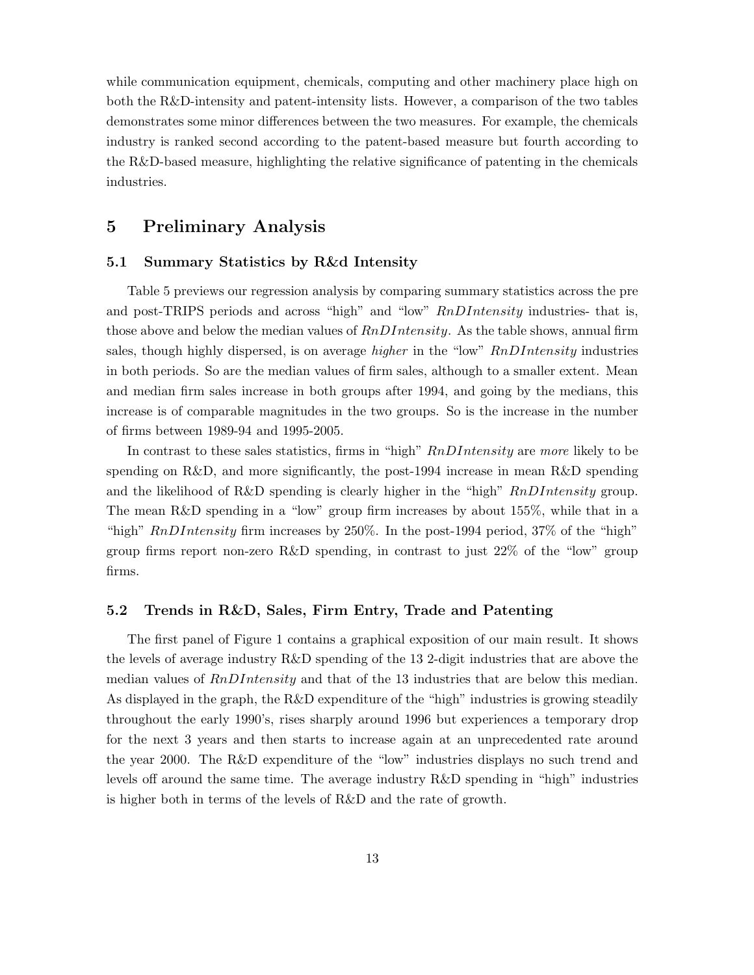while communication equipment, chemicals, computing and other machinery place high on both the R&D-intensity and patent-intensity lists. However, a comparison of the two tables demonstrates some minor differences between the two measures. For example, the chemicals industry is ranked second according to the patent-based measure but fourth according to the R&D-based measure, highlighting the relative significance of patenting in the chemicals industries.

# 5 Preliminary Analysis

## 5.1 Summary Statistics by R&d Intensity

Table 5 previews our regression analysis by comparing summary statistics across the pre and post-TRIPS periods and across "high" and "low" RnDIntensity industries- that is, those above and below the median values of  $RnDIntensity$ . As the table shows, annual firm sales, though highly dispersed, is on average *higher* in the "low" RnDIntensity industries in both periods. So are the median values of firm sales, although to a smaller extent. Mean and median firm sales increase in both groups after 1994, and going by the medians, this increase is of comparable magnitudes in the two groups. So is the increase in the number of firms between 1989-94 and 1995-2005.

In contrast to these sales statistics, firms in "high" RnDIntensity are more likely to be spending on R&D, and more significantly, the post-1994 increase in mean R&D spending and the likelihood of R&D spending is clearly higher in the "high"  $RnDIntensity$  group. The mean R&D spending in a "low" group firm increases by about 155%, while that in a "high"  $RnDIntensity$  firm increases by 250%. In the post-1994 period, 37% of the "high" group firms report non-zero R&D spending, in contrast to just  $22\%$  of the "low" group firms.

## 5.2 Trends in R&D, Sales, Firm Entry, Trade and Patenting

The first panel of Figure 1 contains a graphical exposition of our main result. It shows the levels of average industry R&D spending of the 13 2-digit industries that are above the median values of  $RnDIntensity$  and that of the 13 industries that are below this median. As displayed in the graph, the R&D expenditure of the "high" industries is growing steadily throughout the early 1990's, rises sharply around 1996 but experiences a temporary drop for the next 3 years and then starts to increase again at an unprecedented rate around the year 2000. The R&D expenditure of the "low" industries displays no such trend and levels off around the same time. The average industry R&D spending in "high" industries is higher both in terms of the levels of R&D and the rate of growth.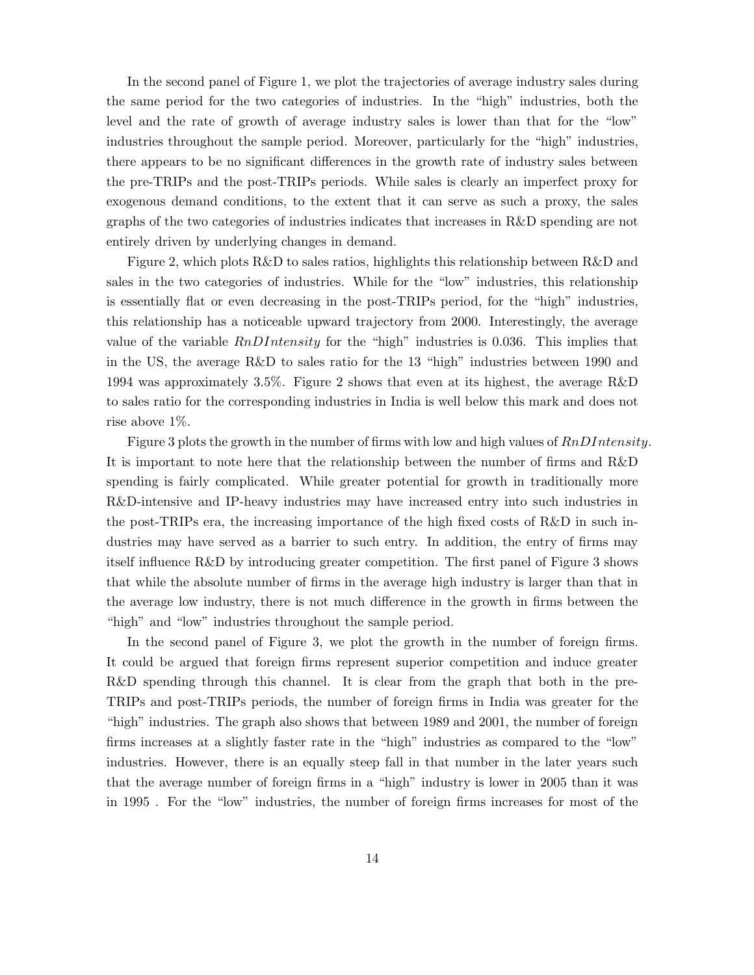In the second panel of Figure 1, we plot the trajectories of average industry sales during the same period for the two categories of industries. In the "high" industries, both the level and the rate of growth of average industry sales is lower than that for the "low" industries throughout the sample period. Moreover, particularly for the "high" industries, there appears to be no significant differences in the growth rate of industry sales between the pre-TRIPs and the post-TRIPs periods. While sales is clearly an imperfect proxy for exogenous demand conditions, to the extent that it can serve as such a proxy, the sales graphs of the two categories of industries indicates that increases in R&D spending are not entirely driven by underlying changes in demand.

Figure 2, which plots R&D to sales ratios, highlights this relationship between R&D and sales in the two categories of industries. While for the "low" industries, this relationship is essentially flat or even decreasing in the post-TRIPs period, for the "high" industries, this relationship has a noticeable upward trajectory from 2000. Interestingly, the average value of the variable  $RnDIntensity$  for the "high" industries is 0.036. This implies that in the US, the average R&D to sales ratio for the 13 "high" industries between 1990 and 1994 was approximately 3.5%. Figure 2 shows that even at its highest, the average R&D to sales ratio for the corresponding industries in India is well below this mark and does not rise above 1%.

Figure 3 plots the growth in the number of firms with low and high values of  $RnDIntensity$ . It is important to note here that the relationship between the number of firms and R&D spending is fairly complicated. While greater potential for growth in traditionally more R&D-intensive and IP-heavy industries may have increased entry into such industries in the post-TRIPs era, the increasing importance of the high fixed costs of R&D in such industries may have served as a barrier to such entry. In addition, the entry of firms may itself influence R&D by introducing greater competition. The first panel of Figure 3 shows that while the absolute number of firms in the average high industry is larger than that in the average low industry, there is not much difference in the growth in firms between the "high" and "low" industries throughout the sample period.

In the second panel of Figure 3, we plot the growth in the number of foreign firms. It could be argued that foreign firms represent superior competition and induce greater R&D spending through this channel. It is clear from the graph that both in the pre-TRIPs and post-TRIPs periods, the number of foreign firms in India was greater for the "high" industries. The graph also shows that between 1989 and 2001, the number of foreign firms increases at a slightly faster rate in the "high" industries as compared to the "low" industries. However, there is an equally steep fall in that number in the later years such that the average number of foreign firms in a "high" industry is lower in 2005 than it was in 1995 . For the "low" industries, the number of foreign firms increases for most of the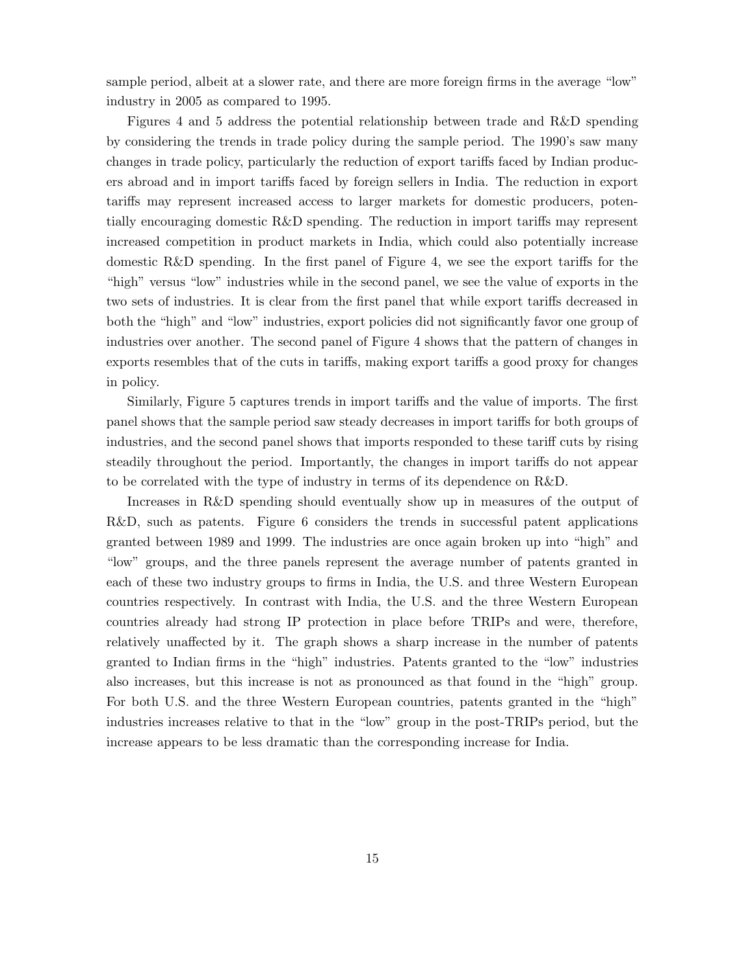sample period, albeit at a slower rate, and there are more foreign firms in the average "low" industry in 2005 as compared to 1995.

Figures 4 and 5 address the potential relationship between trade and R&D spending by considering the trends in trade policy during the sample period. The 1990's saw many changes in trade policy, particularly the reduction of export tariffs faced by Indian producers abroad and in import tariffs faced by foreign sellers in India. The reduction in export tariffs may represent increased access to larger markets for domestic producers, potentially encouraging domestic R&D spending. The reduction in import tariffs may represent increased competition in product markets in India, which could also potentially increase domestic R&D spending. In the first panel of Figure 4, we see the export tariffs for the "high" versus "low" industries while in the second panel, we see the value of exports in the two sets of industries. It is clear from the first panel that while export tariffs decreased in both the "high" and "low" industries, export policies did not significantly favor one group of industries over another. The second panel of Figure 4 shows that the pattern of changes in exports resembles that of the cuts in tariffs, making export tariffs a good proxy for changes in policy.

Similarly, Figure 5 captures trends in import tariffs and the value of imports. The first panel shows that the sample period saw steady decreases in import tariffs for both groups of industries, and the second panel shows that imports responded to these tariff cuts by rising steadily throughout the period. Importantly, the changes in import tariffs do not appear to be correlated with the type of industry in terms of its dependence on R&D.

Increases in R&D spending should eventually show up in measures of the output of R&D, such as patents. Figure 6 considers the trends in successful patent applications granted between 1989 and 1999. The industries are once again broken up into "high" and "low" groups, and the three panels represent the average number of patents granted in each of these two industry groups to firms in India, the U.S. and three Western European countries respectively. In contrast with India, the U.S. and the three Western European countries already had strong IP protection in place before TRIPs and were, therefore, relatively unaffected by it. The graph shows a sharp increase in the number of patents granted to Indian firms in the "high" industries. Patents granted to the "low" industries also increases, but this increase is not as pronounced as that found in the "high" group. For both U.S. and the three Western European countries, patents granted in the "high" industries increases relative to that in the "low" group in the post-TRIPs period, but the increase appears to be less dramatic than the corresponding increase for India.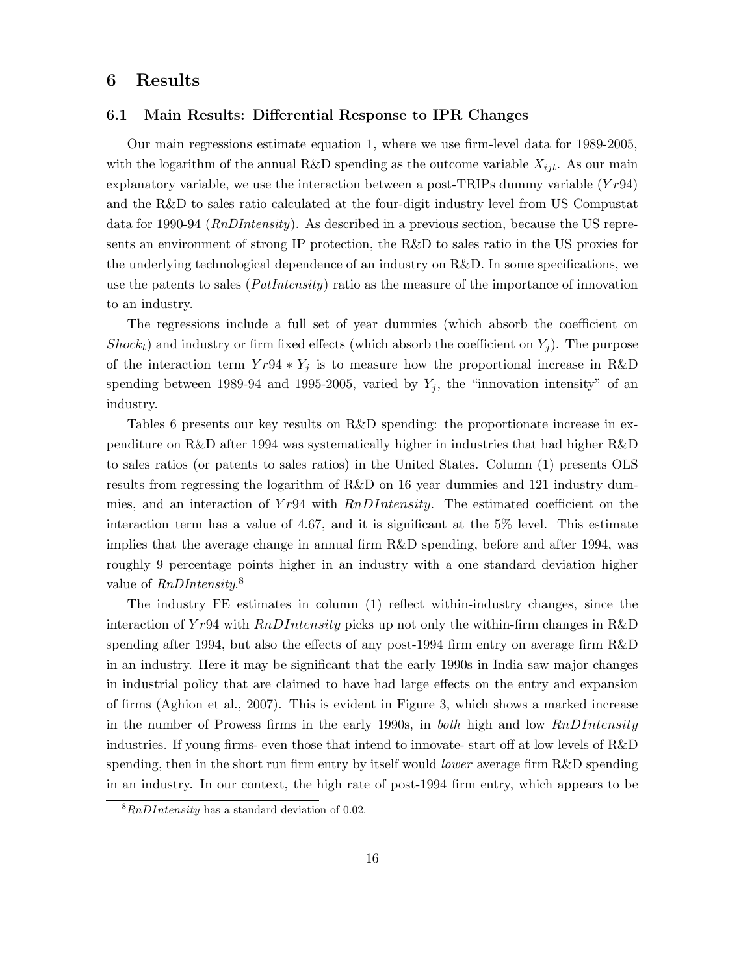## 6 Results

## 6.1 Main Results: Differential Response to IPR Changes

Our main regressions estimate equation 1, where we use firm-level data for 1989-2005, with the logarithm of the annual R&D spending as the outcome variable  $X_{ijt}$ . As our main explanatory variable, we use the interaction between a post-TRIPs dummy variable  $(Yr94)$ and the R&D to sales ratio calculated at the four-digit industry level from US Compustat data for 1990-94 (RnDIntensity). As described in a previous section, because the US represents an environment of strong IP protection, the R&D to sales ratio in the US proxies for the underlying technological dependence of an industry on R&D. In some specifications, we use the patents to sales (*PatIntensity*) ratio as the measure of the importance of innovation to an industry.

The regressions include a full set of year dummies (which absorb the coefficient on  $Shock<sub>t</sub>$ ) and industry or firm fixed effects (which absorb the coefficient on  $Y<sub>j</sub>$ ). The purpose of the interaction term  $Y r 94 * Y_j$  is to measure how the proportional increase in R&D spending between 1989-94 and 1995-2005, varied by  $Y_j$ , the "innovation intensity" of an industry.

Tables 6 presents our key results on R&D spending: the proportionate increase in expenditure on R&D after 1994 was systematically higher in industries that had higher R&D to sales ratios (or patents to sales ratios) in the United States. Column (1) presents OLS results from regressing the logarithm of R&D on 16 year dummies and 121 industry dummies, and an interaction of  $Yr94$  with  $RnDIntensity$ . The estimated coefficient on the interaction term has a value of 4.67, and it is significant at the 5% level. This estimate implies that the average change in annual firm R&D spending, before and after 1994, was roughly 9 percentage points higher in an industry with a one standard deviation higher value of  $RnDIntensity$ <sup>8</sup>

The industry FE estimates in column (1) reflect within-industry changes, since the interaction of Yr94 with  $RnDIntensity$  picks up not only the within-firm changes in R&D spending after 1994, but also the effects of any post-1994 firm entry on average firm R&D in an industry. Here it may be significant that the early 1990s in India saw major changes in industrial policy that are claimed to have had large effects on the entry and expansion of firms (Aghion et al., 2007). This is evident in Figure 3, which shows a marked increase in the number of Prowess firms in the early 1990s, in *both* high and low  $RnDIntensity$ industries. If young firms- even those that intend to innovate- start off at low levels of R&D spending, then in the short run firm entry by itself would *lower* average firm R&D spending in an industry. In our context, the high rate of post-1994 firm entry, which appears to be

 ${}^{8}RnDIntensity$  has a standard deviation of 0.02.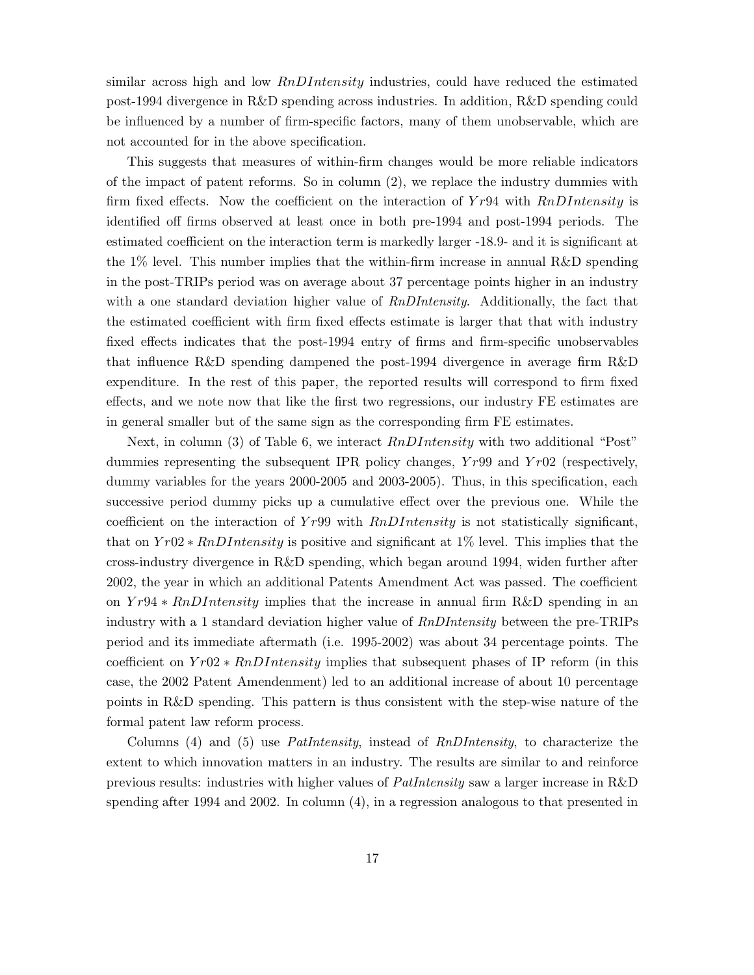similar across high and low  $RnDIntensity$  industries, could have reduced the estimated post-1994 divergence in R&D spending across industries. In addition, R&D spending could be influenced by a number of firm-specific factors, many of them unobservable, which are not accounted for in the above specification.

This suggests that measures of within-firm changes would be more reliable indicators of the impact of patent reforms. So in column (2), we replace the industry dummies with firm fixed effects. Now the coefficient on the interaction of  $Yr94$  with  $RnDIntensity$  is identified off firms observed at least once in both pre-1994 and post-1994 periods. The estimated coefficient on the interaction term is markedly larger -18.9- and it is significant at the 1% level. This number implies that the within-firm increase in annual R&D spending in the post-TRIPs period was on average about 37 percentage points higher in an industry with a one standard deviation higher value of *RnDIntensity*. Additionally, the fact that the estimated coefficient with firm fixed effects estimate is larger that that with industry fixed effects indicates that the post-1994 entry of firms and firm-specific unobservables that influence R&D spending dampened the post-1994 divergence in average firm R&D expenditure. In the rest of this paper, the reported results will correspond to firm fixed effects, and we note now that like the first two regressions, our industry FE estimates are in general smaller but of the same sign as the corresponding firm FE estimates.

Next, in column (3) of Table 6, we interact  $RnDIntensity$  with two additional "Post" dummies representing the subsequent IPR policy changes,  $Yr99$  and  $Yr02$  (respectively, dummy variables for the years 2000-2005 and 2003-2005). Thus, in this specification, each successive period dummy picks up a cumulative effect over the previous one. While the coefficient on the interaction of  $Yr99$  with  $RnDIntensity$  is not statistically significant, that on  $Yr02 * RnDIntensity$  is positive and significant at 1% level. This implies that the cross-industry divergence in R&D spending, which began around 1994, widen further after 2002, the year in which an additional Patents Amendment Act was passed. The coefficient on Yr94 ∗ RnDIntensity implies that the increase in annual firm R&D spending in an industry with a 1 standard deviation higher value of RnDIntensity between the pre-TRIPs period and its immediate aftermath (i.e. 1995-2002) was about 34 percentage points. The coefficient on  $Yr02 * RnDIntensity$  implies that subsequent phases of IP reform (in this case, the 2002 Patent Amendenment) led to an additional increase of about 10 percentage points in R&D spending. This pattern is thus consistent with the step-wise nature of the formal patent law reform process.

Columns (4) and (5) use PatIntensity, instead of RnDIntensity, to characterize the extent to which innovation matters in an industry. The results are similar to and reinforce previous results: industries with higher values of PatIntensity saw a larger increase in R&D spending after 1994 and 2002. In column (4), in a regression analogous to that presented in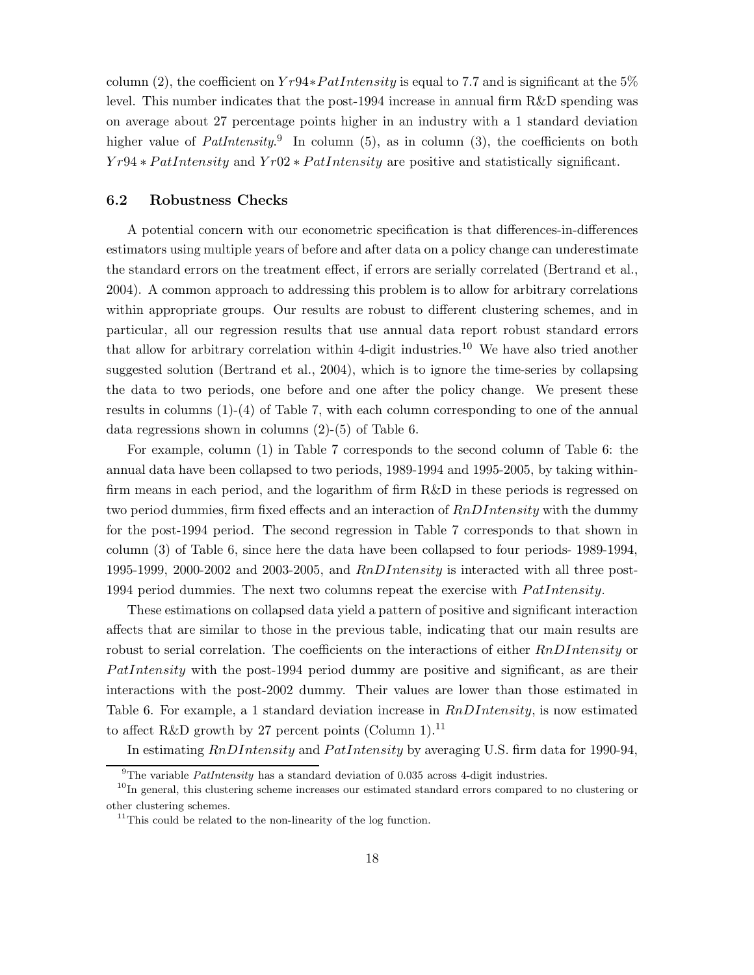column (2), the coefficient on  $Yr94*Path density$  is equal to 7.7 and is significant at the 5% level. This number indicates that the post-1994 increase in annual firm R&D spending was on average about 27 percentage points higher in an industry with a 1 standard deviation higher value of  $Paththeq$ <sup>9</sup>. In column (5), as in column (3), the coefficients on both  $Yr94 * PatIntensity$  and  $Yr02 * PatIntensity$  are positive and statistically significant.

#### 6.2 Robustness Checks

A potential concern with our econometric specification is that differences-in-differences estimators using multiple years of before and after data on a policy change can underestimate the standard errors on the treatment effect, if errors are serially correlated (Bertrand et al., 2004). A common approach to addressing this problem is to allow for arbitrary correlations within appropriate groups. Our results are robust to different clustering schemes, and in particular, all our regression results that use annual data report robust standard errors that allow for arbitrary correlation within 4-digit industries.<sup>10</sup> We have also tried another suggested solution (Bertrand et al., 2004), which is to ignore the time-series by collapsing the data to two periods, one before and one after the policy change. We present these results in columns (1)-(4) of Table 7, with each column corresponding to one of the annual data regressions shown in columns (2)-(5) of Table 6.

For example, column (1) in Table 7 corresponds to the second column of Table 6: the annual data have been collapsed to two periods, 1989-1994 and 1995-2005, by taking withinfirm means in each period, and the logarithm of firm R&D in these periods is regressed on two period dummies, firm fixed effects and an interaction of  $RnDIntensity$  with the dummy for the post-1994 period. The second regression in Table 7 corresponds to that shown in column (3) of Table 6, since here the data have been collapsed to four periods- 1989-1994, 1995-1999, 2000-2002 and 2003-2005, and  $RnDIntensity$  is interacted with all three post-1994 period dummies. The next two columns repeat the exercise with  $Path intensity$ .

These estimations on collapsed data yield a pattern of positive and significant interaction affects that are similar to those in the previous table, indicating that our main results are robust to serial correlation. The coefficients on the interactions of either  $RnDIntensity$  or  $Path intensity$  with the post-1994 period dummy are positive and significant, as are their interactions with the post-2002 dummy. Their values are lower than those estimated in Table 6. For example, a 1 standard deviation increase in  $RnDIntensity$ , is now estimated to affect R&D growth by 27 percent points (Column 1).<sup>11</sup>

In estimating  $RnDIntensity$  and  $Path intensity$  by averaging U.S. firm data for 1990-94,

 $^{9}$ The variable *PatIntensity* has a standard deviation of 0.035 across 4-digit industries.

<sup>&</sup>lt;sup>10</sup>In general, this clustering scheme increases our estimated standard errors compared to no clustering or other clustering schemes.

 $11$ This could be related to the non-linearity of the log function.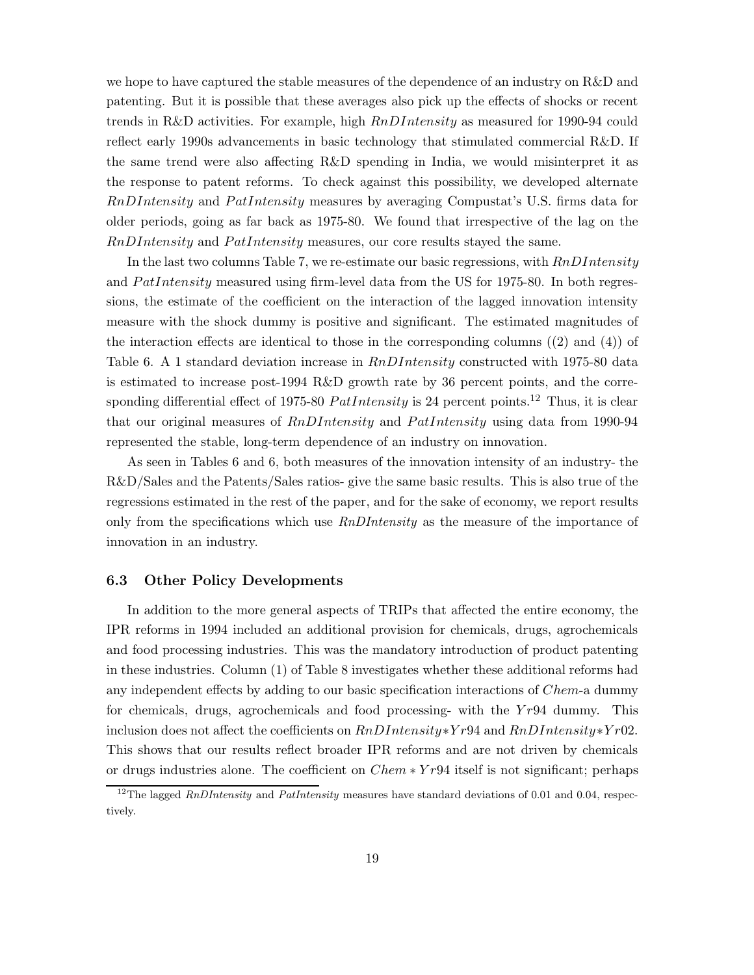we hope to have captured the stable measures of the dependence of an industry on R&D and patenting. But it is possible that these averages also pick up the effects of shocks or recent trends in R&D activities. For example, high RnDIntensity as measured for 1990-94 could reflect early 1990s advancements in basic technology that stimulated commercial R&D. If the same trend were also affecting R&D spending in India, we would misinterpret it as the response to patent reforms. To check against this possibility, we developed alternate  $RnDIntensity$  and  $Path intensity$  measures by averaging Compustat's U.S. firms data for older periods, going as far back as 1975-80. We found that irrespective of the lag on the  $RnDIntensity$  and  $Path intensity$  measures, our core results stayed the same.

In the last two columns Table 7, we re-estimate our basic regressions, with  $RnDIntensity$ and  $Path intensity$  measured using firm-level data from the US for 1975-80. In both regressions, the estimate of the coefficient on the interaction of the lagged innovation intensity measure with the shock dummy is positive and significant. The estimated magnitudes of the interaction effects are identical to those in the corresponding columns ((2) and (4)) of Table 6. A 1 standard deviation increase in  $RnDIntensity$  constructed with 1975-80 data is estimated to increase post-1994 R&D growth rate by 36 percent points, and the corresponding differential effect of 1975-80  $Path density$  is 24 percent points.<sup>12</sup> Thus, it is clear that our original measures of  $RnDIntensity$  and  $Path intensity$  using data from 1990-94 represented the stable, long-term dependence of an industry on innovation.

As seen in Tables 6 and 6, both measures of the innovation intensity of an industry- the R&D/Sales and the Patents/Sales ratios- give the same basic results. This is also true of the regressions estimated in the rest of the paper, and for the sake of economy, we report results only from the specifications which use  $RnDIntensity$  as the measure of the importance of innovation in an industry.

## 6.3 Other Policy Developments

In addition to the more general aspects of TRIPs that affected the entire economy, the IPR reforms in 1994 included an additional provision for chemicals, drugs, agrochemicals and food processing industries. This was the mandatory introduction of product patenting in these industries. Column (1) of Table 8 investigates whether these additional reforms had any independent effects by adding to our basic specification interactions of Chem-a dummy for chemicals, drugs, agrochemicals and food processing- with the  $Yr94$  dummy. This inclusion does not affect the coefficients on  $RnDIntensity*Yr94$  and  $RnDIntensity*Yr02$ . This shows that our results reflect broader IPR reforms and are not driven by chemicals or drugs industries alone. The coefficient on Chem ∗ Yr94 itself is not significant; perhaps

<sup>&</sup>lt;sup>12</sup>The lagged *RnDIntensity* and *PatIntensity* measures have standard deviations of 0.01 and 0.04, respectively.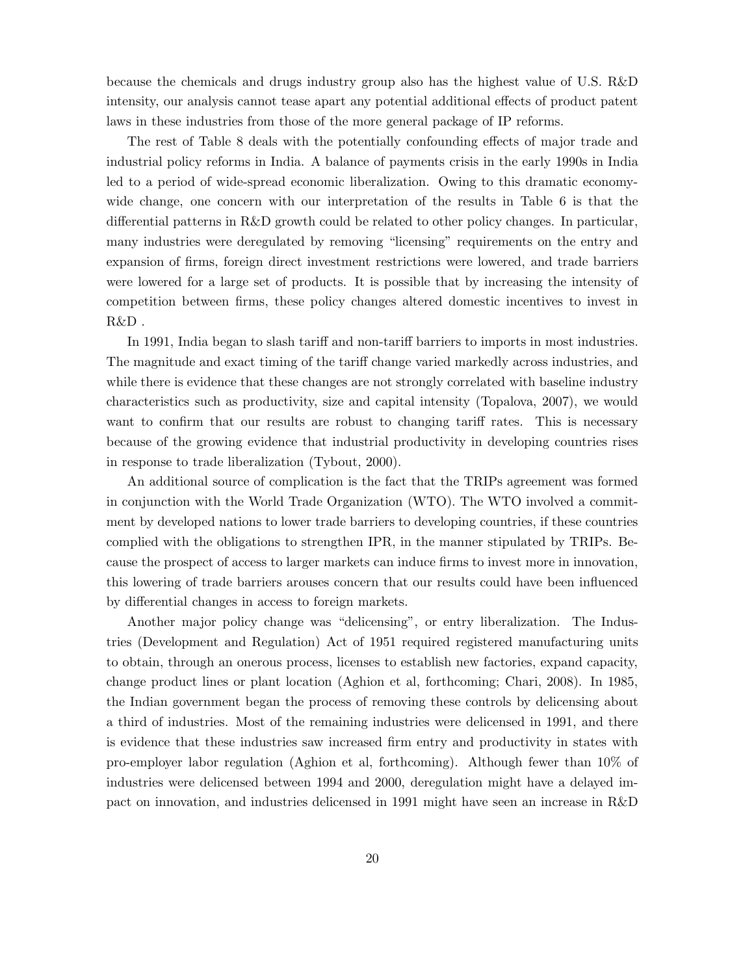because the chemicals and drugs industry group also has the highest value of U.S. R&D intensity, our analysis cannot tease apart any potential additional effects of product patent laws in these industries from those of the more general package of IP reforms.

The rest of Table 8 deals with the potentially confounding effects of major trade and industrial policy reforms in India. A balance of payments crisis in the early 1990s in India led to a period of wide-spread economic liberalization. Owing to this dramatic economywide change, one concern with our interpretation of the results in Table 6 is that the differential patterns in R&D growth could be related to other policy changes. In particular, many industries were deregulated by removing "licensing" requirements on the entry and expansion of firms, foreign direct investment restrictions were lowered, and trade barriers were lowered for a large set of products. It is possible that by increasing the intensity of competition between firms, these policy changes altered domestic incentives to invest in  $R&D$ .

In 1991, India began to slash tariff and non-tariff barriers to imports in most industries. The magnitude and exact timing of the tariff change varied markedly across industries, and while there is evidence that these changes are not strongly correlated with baseline industry characteristics such as productivity, size and capital intensity (Topalova, 2007), we would want to confirm that our results are robust to changing tariff rates. This is necessary because of the growing evidence that industrial productivity in developing countries rises in response to trade liberalization (Tybout, 2000).

An additional source of complication is the fact that the TRIPs agreement was formed in conjunction with the World Trade Organization (WTO). The WTO involved a commitment by developed nations to lower trade barriers to developing countries, if these countries complied with the obligations to strengthen IPR, in the manner stipulated by TRIPs. Because the prospect of access to larger markets can induce firms to invest more in innovation, this lowering of trade barriers arouses concern that our results could have been influenced by differential changes in access to foreign markets.

Another major policy change was "delicensing", or entry liberalization. The Industries (Development and Regulation) Act of 1951 required registered manufacturing units to obtain, through an onerous process, licenses to establish new factories, expand capacity, change product lines or plant location (Aghion et al, forthcoming; Chari, 2008). In 1985, the Indian government began the process of removing these controls by delicensing about a third of industries. Most of the remaining industries were delicensed in 1991, and there is evidence that these industries saw increased firm entry and productivity in states with pro-employer labor regulation (Aghion et al, forthcoming). Although fewer than 10% of industries were delicensed between 1994 and 2000, deregulation might have a delayed impact on innovation, and industries delicensed in 1991 might have seen an increase in R&D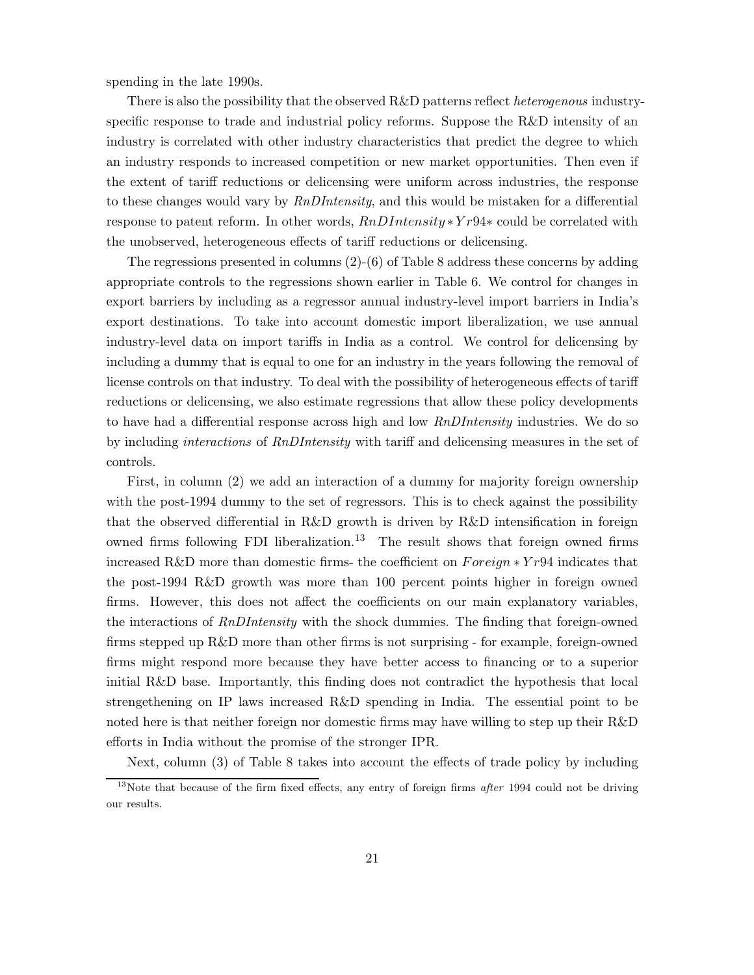spending in the late 1990s.

There is also the possibility that the observed R&D patterns reflect *heterogenous* industryspecific response to trade and industrial policy reforms. Suppose the R&D intensity of an industry is correlated with other industry characteristics that predict the degree to which an industry responds to increased competition or new market opportunities. Then even if the extent of tariff reductions or delicensing were uniform across industries, the response to these changes would vary by RnDIntensity, and this would be mistaken for a differential response to patent reform. In other words, RnDIntensity ∗Y r94∗ could be correlated with the unobserved, heterogeneous effects of tariff reductions or delicensing.

The regressions presented in columns (2)-(6) of Table 8 address these concerns by adding appropriate controls to the regressions shown earlier in Table 6. We control for changes in export barriers by including as a regressor annual industry-level import barriers in India's export destinations. To take into account domestic import liberalization, we use annual industry-level data on import tariffs in India as a control. We control for delicensing by including a dummy that is equal to one for an industry in the years following the removal of license controls on that industry. To deal with the possibility of heterogeneous effects of tariff reductions or delicensing, we also estimate regressions that allow these policy developments to have had a differential response across high and low  $RnDIntensity$  industries. We do so by including interactions of RnDIntensity with tariff and delicensing measures in the set of controls.

First, in column (2) we add an interaction of a dummy for majority foreign ownership with the post-1994 dummy to the set of regressors. This is to check against the possibility that the observed differential in R&D growth is driven by R&D intensification in foreign owned firms following FDI liberalization.<sup>13</sup> The result shows that foreign owned firms increased R&D more than domestic firms- the coefficient on  $Foreign * Yr94$  indicates that the post-1994 R&D growth was more than 100 percent points higher in foreign owned firms. However, this does not affect the coefficients on our main explanatory variables, the interactions of RnDIntensity with the shock dummies. The finding that foreign-owned firms stepped up R&D more than other firms is not surprising - for example, foreign-owned firms might respond more because they have better access to financing or to a superior initial R&D base. Importantly, this finding does not contradict the hypothesis that local strengethening on IP laws increased R&D spending in India. The essential point to be noted here is that neither foreign nor domestic firms may have willing to step up their R&D efforts in India without the promise of the stronger IPR.

Next, column (3) of Table 8 takes into account the effects of trade policy by including

<sup>&</sup>lt;sup>13</sup>Note that because of the firm fixed effects, any entry of foreign firms *after* 1994 could not be driving our results.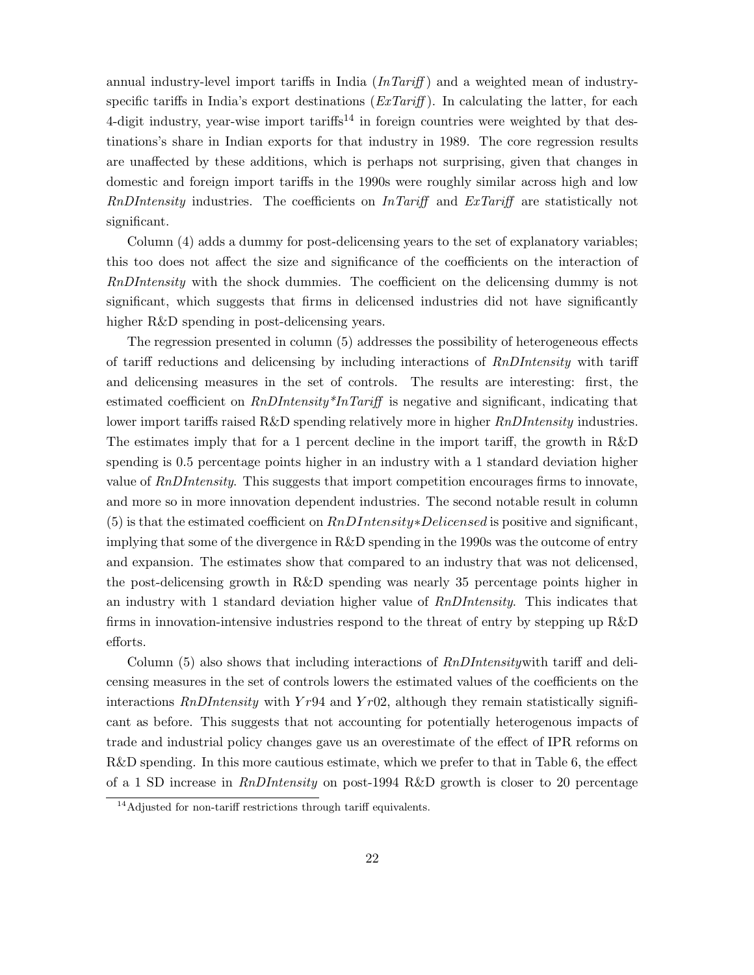annual industry-level import tariffs in India  $(InTariff)$  and a weighted mean of industryspecific tariffs in India's export destinations  $(ExTariff)$ . In calculating the latter, for each 4-digit industry, year-wise import tariffs<sup>14</sup> in foreign countries were weighted by that destinations's share in Indian exports for that industry in 1989. The core regression results are unaffected by these additions, which is perhaps not surprising, given that changes in domestic and foreign import tariffs in the 1990s were roughly similar across high and low RnDIntensity industries. The coefficients on InTariff and ExTariff are statistically not significant.

Column (4) adds a dummy for post-delicensing years to the set of explanatory variables; this too does not affect the size and significance of the coefficients on the interaction of RnDIntensity with the shock dummies. The coefficient on the delicensing dummy is not significant, which suggests that firms in delicensed industries did not have significantly higher R&D spending in post-delicensing years.

The regression presented in column (5) addresses the possibility of heterogeneous effects of tariff reductions and delicensing by including interactions of RnDIntensity with tariff and delicensing measures in the set of controls. The results are interesting: first, the estimated coefficient on  $RnDIntensity^*InTariff$  is negative and significant, indicating that lower import tariffs raised R&D spending relatively more in higher *RnDIntensity* industries. The estimates imply that for a 1 percent decline in the import tariff, the growth in R&D spending is 0.5 percentage points higher in an industry with a 1 standard deviation higher value of RnDIntensity. This suggests that import competition encourages firms to innovate, and more so in more innovation dependent industries. The second notable result in column (5) is that the estimated coefficient on  $RnDIntensity \times Delicensed$  is positive and significant, implying that some of the divergence in R&D spending in the 1990s was the outcome of entry and expansion. The estimates show that compared to an industry that was not delicensed, the post-delicensing growth in R&D spending was nearly 35 percentage points higher in an industry with 1 standard deviation higher value of RnDIntensity. This indicates that firms in innovation-intensive industries respond to the threat of entry by stepping up R&D efforts.

Column (5) also shows that including interactions of  $RnDIntensity$  with tariff and delicensing measures in the set of controls lowers the estimated values of the coefficients on the interactions  $RnDIntensity$  with  $Yr94$  and  $Yr02$ , although they remain statistically significant as before. This suggests that not accounting for potentially heterogenous impacts of trade and industrial policy changes gave us an overestimate of the effect of IPR reforms on R&D spending. In this more cautious estimate, which we prefer to that in Table 6, the effect of a 1 SD increase in  $RnDIntensity$  on post-1994 R&D growth is closer to 20 percentage

<sup>&</sup>lt;sup>14</sup>Adjusted for non-tariff restrictions through tariff equivalents.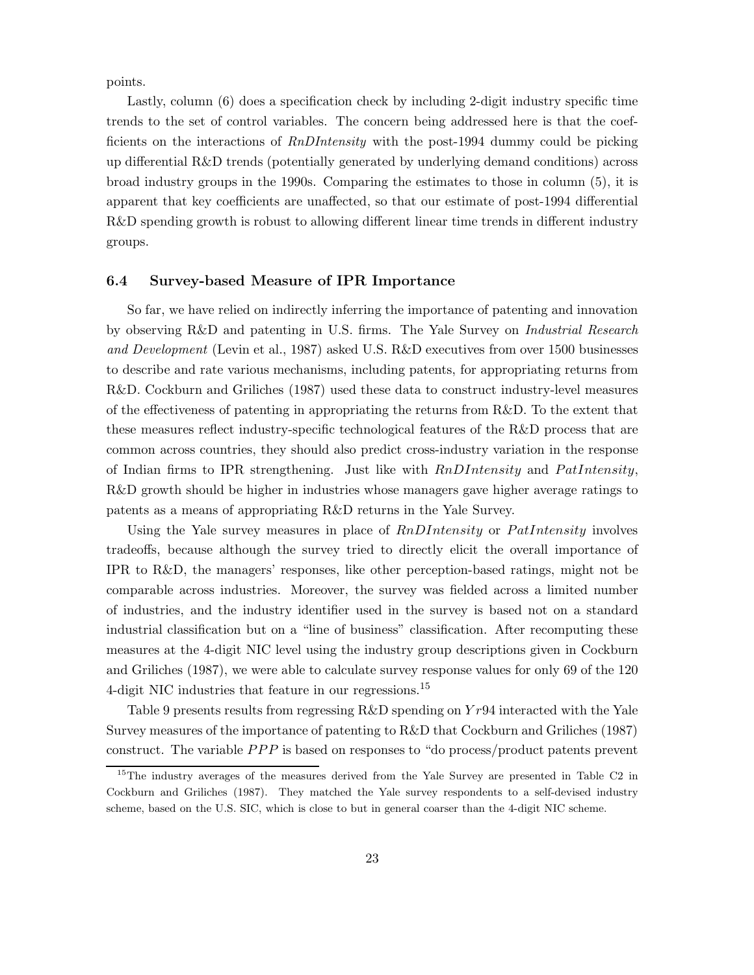points.

Lastly, column (6) does a specification check by including 2-digit industry specific time trends to the set of control variables. The concern being addressed here is that the coefficients on the interactions of RnDIntensity with the post-1994 dummy could be picking up differential R&D trends (potentially generated by underlying demand conditions) across broad industry groups in the 1990s. Comparing the estimates to those in column (5), it is apparent that key coefficients are unaffected, so that our estimate of post-1994 differential R&D spending growth is robust to allowing different linear time trends in different industry groups.

## 6.4 Survey-based Measure of IPR Importance

So far, we have relied on indirectly inferring the importance of patenting and innovation by observing R&D and patenting in U.S. firms. The Yale Survey on Industrial Research and Development (Levin et al., 1987) asked U.S. R&D executives from over 1500 businesses to describe and rate various mechanisms, including patents, for appropriating returns from R&D. Cockburn and Griliches (1987) used these data to construct industry-level measures of the effectiveness of patenting in appropriating the returns from R&D. To the extent that these measures reflect industry-specific technological features of the R&D process that are common across countries, they should also predict cross-industry variation in the response of Indian firms to IPR strengthening. Just like with  $RnDIntensity$  and  $Path intensity$ , R&D growth should be higher in industries whose managers gave higher average ratings to patents as a means of appropriating R&D returns in the Yale Survey.

Using the Yale survey measures in place of  $RnDIntensity$  or  $Path intensity$  involves tradeoffs, because although the survey tried to directly elicit the overall importance of IPR to R&D, the managers' responses, like other perception-based ratings, might not be comparable across industries. Moreover, the survey was fielded across a limited number of industries, and the industry identifier used in the survey is based not on a standard industrial classification but on a "line of business" classification. After recomputing these measures at the 4-digit NIC level using the industry group descriptions given in Cockburn and Griliches (1987), we were able to calculate survey response values for only 69 of the 120 4-digit NIC industries that feature in our regressions.<sup>15</sup>

Table 9 presents results from regressing  $R&D$  spending on  $Yr94$  interacted with the Yale Survey measures of the importance of patenting to R&D that Cockburn and Griliches (1987) construct. The variable  $PPP$  is based on responses to "do process/product patents prevent

<sup>&</sup>lt;sup>15</sup>The industry averages of the measures derived from the Yale Survey are presented in Table C2 in Cockburn and Griliches (1987). They matched the Yale survey respondents to a self-devised industry scheme, based on the U.S. SIC, which is close to but in general coarser than the 4-digit NIC scheme.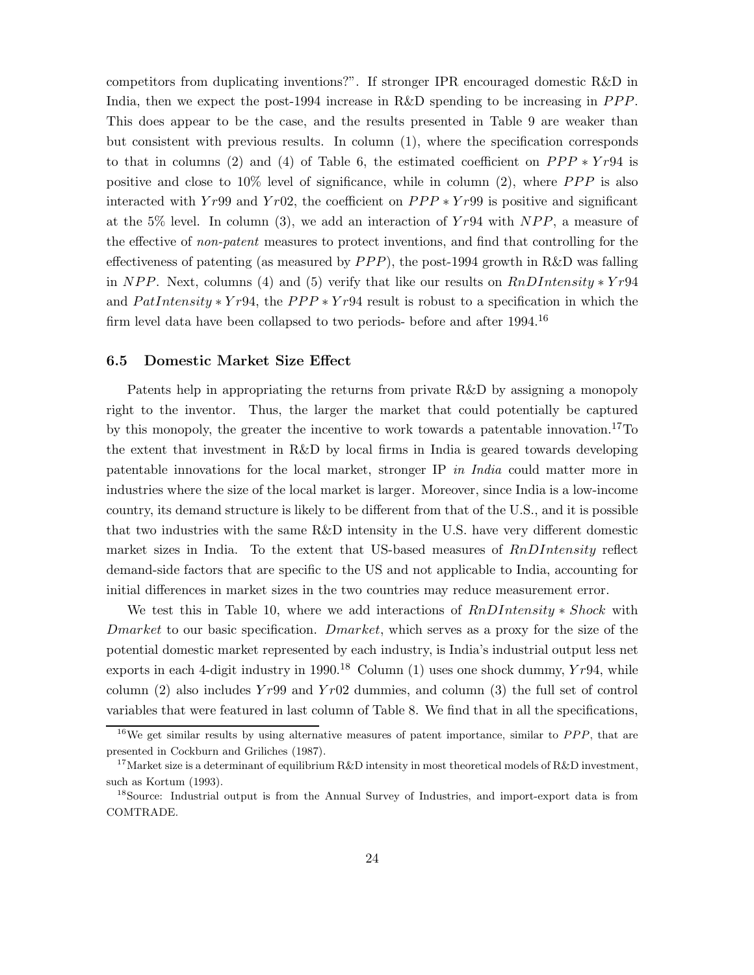competitors from duplicating inventions?". If stronger IPR encouraged domestic R&D in India, then we expect the post-1994 increase in  $R\&D$  spending to be increasing in  $PPP$ . This does appear to be the case, and the results presented in Table 9 are weaker than but consistent with previous results. In column (1), where the specification corresponds to that in columns (2) and (4) of Table 6, the estimated coefficient on  $PPP * Yr94$  is positive and close to  $10\%$  level of significance, while in column (2), where PPP is also interacted with Yr99 and Yr02, the coefficient on  $PPP*Yr99$  is positive and significant at the 5% level. In column (3), we add an interaction of  $Yr94$  with  $NPP$ , a measure of the effective of non-patent measures to protect inventions, and find that controlling for the effectiveness of patenting (as measured by  $PPP$ ), the post-1994 growth in R&D was falling in NPP. Next, columns (4) and (5) verify that like our results on  $RnDIntensity * Yr94$ and  $Path intensity * Yr94$ , the  $PPP * Yr94$  result is robust to a specification in which the firm level data have been collapsed to two periods- before and after 1994.<sup>16</sup>

#### 6.5 Domestic Market Size Effect

Patents help in appropriating the returns from private R&D by assigning a monopoly right to the inventor. Thus, the larger the market that could potentially be captured by this monopoly, the greater the incentive to work towards a patentable innovation.17To the extent that investment in R&D by local firms in India is geared towards developing patentable innovations for the local market, stronger IP in India could matter more in industries where the size of the local market is larger. Moreover, since India is a low-income country, its demand structure is likely to be different from that of the U.S., and it is possible that two industries with the same R&D intensity in the U.S. have very different domestic market sizes in India. To the extent that US-based measures of  $RnDIntensity$  reflect demand-side factors that are specific to the US and not applicable to India, accounting for initial differences in market sizes in the two countries may reduce measurement error.

We test this in Table 10, where we add interactions of  $RnDIntensity * Shock$  with Dmarket to our basic specification. Dmarket, which serves as a proxy for the size of the potential domestic market represented by each industry, is India's industrial output less net exports in each 4-digit industry in 1990.<sup>18</sup> Column (1) uses one shock dummy,  $Yr94$ , while column (2) also includes  $Yr99$  and  $Yr02$  dummies, and column (3) the full set of control variables that were featured in last column of Table 8. We find that in all the specifications,

<sup>&</sup>lt;sup>16</sup>We get similar results by using alternative measures of patent importance, similar to  $PPP$ , that are presented in Cockburn and Griliches (1987).

<sup>&</sup>lt;sup>17</sup>Market size is a determinant of equilibrium R&D intensity in most theoretical models of R&D investment, such as Kortum (1993).

<sup>&</sup>lt;sup>18</sup>Source: Industrial output is from the Annual Survey of Industries, and import-export data is from COMTRADE.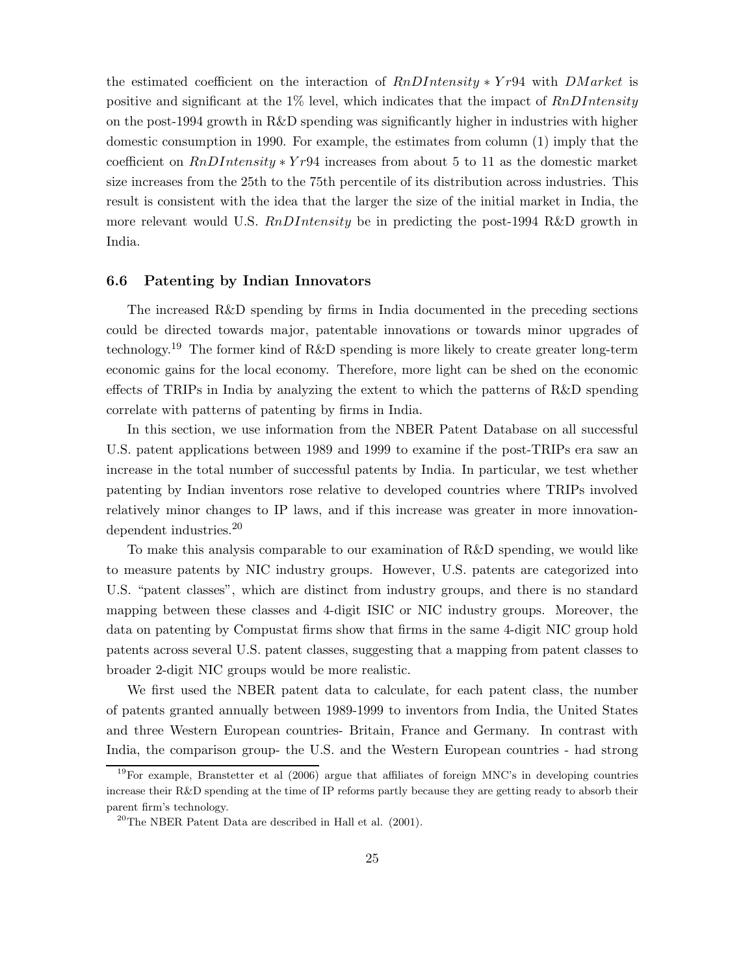the estimated coefficient on the interaction of  $RnDIntensity * Yr94$  with  $DMarket$  is positive and significant at the 1% level, which indicates that the impact of  $RnDIntensity$ on the post-1994 growth in R&D spending was significantly higher in industries with higher domestic consumption in 1990. For example, the estimates from column (1) imply that the coefficient on  $RnDIntensity * Yr94$  increases from about 5 to 11 as the domestic market size increases from the 25th to the 75th percentile of its distribution across industries. This result is consistent with the idea that the larger the size of the initial market in India, the more relevant would U.S. RnDIntensity be in predicting the post-1994 R&D growth in India.

## 6.6 Patenting by Indian Innovators

The increased R&D spending by firms in India documented in the preceding sections could be directed towards major, patentable innovations or towards minor upgrades of technology.<sup>19</sup> The former kind of R&D spending is more likely to create greater long-term economic gains for the local economy. Therefore, more light can be shed on the economic effects of TRIPs in India by analyzing the extent to which the patterns of R&D spending correlate with patterns of patenting by firms in India.

In this section, we use information from the NBER Patent Database on all successful U.S. patent applications between 1989 and 1999 to examine if the post-TRIPs era saw an increase in the total number of successful patents by India. In particular, we test whether patenting by Indian inventors rose relative to developed countries where TRIPs involved relatively minor changes to IP laws, and if this increase was greater in more innovationdependent industries.<sup>20</sup>

To make this analysis comparable to our examination of R&D spending, we would like to measure patents by NIC industry groups. However, U.S. patents are categorized into U.S. "patent classes", which are distinct from industry groups, and there is no standard mapping between these classes and 4-digit ISIC or NIC industry groups. Moreover, the data on patenting by Compustat firms show that firms in the same 4-digit NIC group hold patents across several U.S. patent classes, suggesting that a mapping from patent classes to broader 2-digit NIC groups would be more realistic.

We first used the NBER patent data to calculate, for each patent class, the number of patents granted annually between 1989-1999 to inventors from India, the United States and three Western European countries- Britain, France and Germany. In contrast with India, the comparison group- the U.S. and the Western European countries - had strong

<sup>19</sup>For example, Branstetter et al (2006) argue that affiliates of foreign MNC's in developing countries increase their R&D spending at the time of IP reforms partly because they are getting ready to absorb their parent firm's technology.

 $^{20}$ The NBER Patent Data are described in Hall et al. (2001).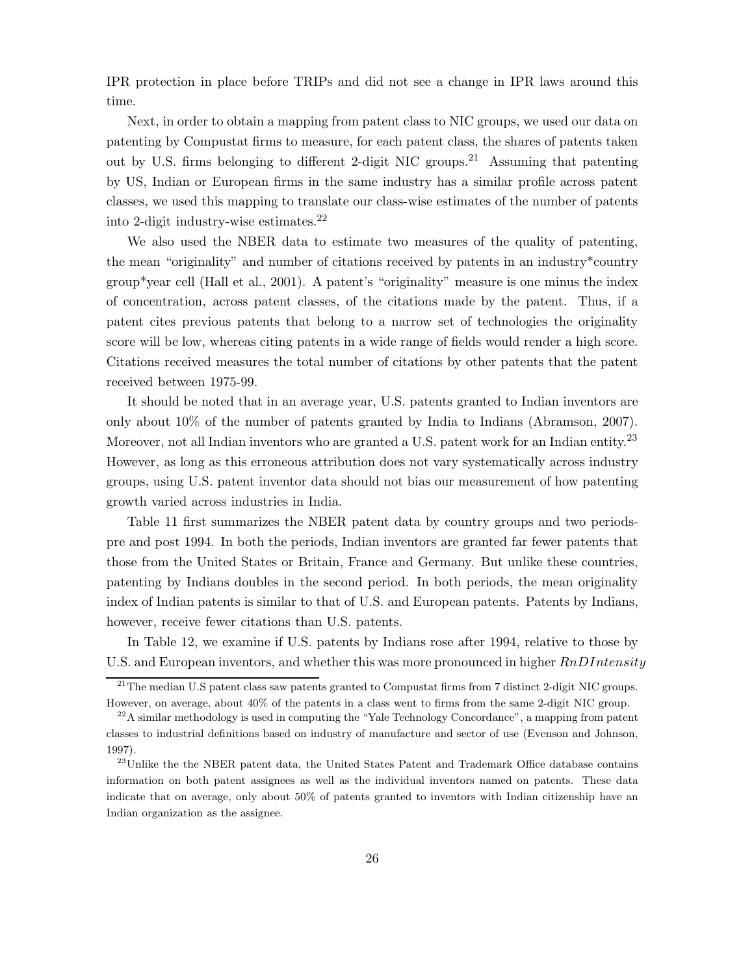IPR protection in place before TRIPs and did not see a change in IPR laws around this time.

Next, in order to obtain a mapping from patent class to NIC groups, we used our data on patenting by Compustat firms to measure, for each patent class, the shares of patents taken out by U.S. firms belonging to different 2-digit NIC groups.<sup>21</sup> Assuming that patenting by US, Indian or European firms in the same industry has a similar profile across patent classes, we used this mapping to translate our class-wise estimates of the number of patents into 2-digit industry-wise estimates.<sup>22</sup>

We also used the NBER data to estimate two measures of the quality of patenting, the mean "originality" and number of citations received by patents in an industry\*country group\*year cell (Hall et al., 2001). A patent's "originality" measure is one minus the index of concentration, across patent classes, of the citations made by the patent. Thus, if a patent cites previous patents that belong to a narrow set of technologies the originality score will be low, whereas citing patents in a wide range of fields would render a high score. Citations received measures the total number of citations by other patents that the patent received between 1975-99.

It should be noted that in an average year, U.S. patents granted to Indian inventors are only about 10% of the number of patents granted by India to Indians (Abramson, 2007). Moreover, not all Indian inventors who are granted a U.S. patent work for an Indian entity.<sup>23</sup> However, as long as this erroneous attribution does not vary systematically across industry groups, using U.S. patent inventor data should not bias our measurement of how patenting growth varied across industries in India.

Table 11 first summarizes the NBER patent data by country groups and two periodspre and post 1994. In both the periods, Indian inventors are granted far fewer patents that those from the United States or Britain, France and Germany. But unlike these countries, patenting by Indians doubles in the second period. In both periods, the mean originality index of Indian patents is similar to that of U.S. and European patents. Patents by Indians, however, receive fewer citations than U.S. patents.

In Table 12, we examine if U.S. patents by Indians rose after 1994, relative to those by U.S. and European inventors, and whether this was more pronounced in higher  $RnDIntensity$ 

<sup>&</sup>lt;sup>21</sup>The median U.S patent class saw patents granted to Compustat firms from 7 distinct 2-digit NIC groups. However, on average, about 40% of the patents in a class went to firms from the same 2-digit NIC group.

 $22A$  similar methodology is used in computing the "Yale Technology Concordance", a mapping from patent classes to industrial definitions based on industry of manufacture and sector of use (Evenson and Johnson, 1997).

<sup>&</sup>lt;sup>23</sup>Unlike the the NBER patent data, the United States Patent and Trademark Office database contains information on both patent assignees as well as the individual inventors named on patents. These data indicate that on average, only about 50% of patents granted to inventors with Indian citizenship have an Indian organization as the assignee.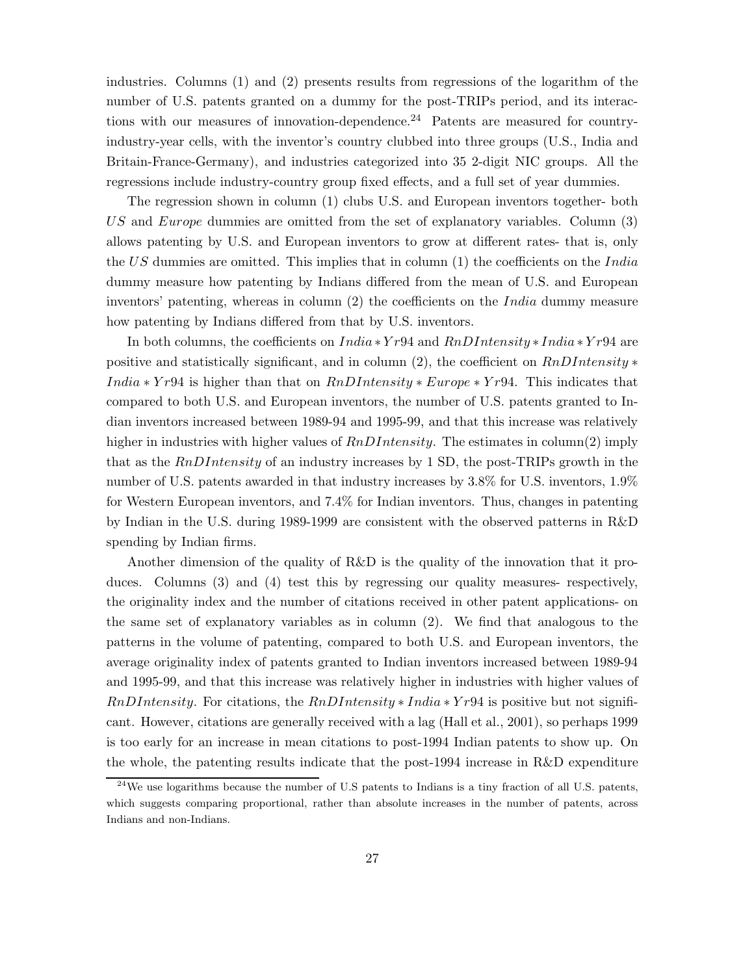industries. Columns (1) and (2) presents results from regressions of the logarithm of the number of U.S. patents granted on a dummy for the post-TRIPs period, and its interactions with our measures of innovation-dependence.<sup>24</sup> Patents are measured for countryindustry-year cells, with the inventor's country clubbed into three groups (U.S., India and Britain-France-Germany), and industries categorized into 35 2-digit NIC groups. All the regressions include industry-country group fixed effects, and a full set of year dummies.

The regression shown in column (1) clubs U.S. and European inventors together- both US and Europe dummies are omitted from the set of explanatory variables. Column (3) allows patenting by U.S. and European inventors to grow at different rates- that is, only the  $US$  dummies are omitted. This implies that in column  $(1)$  the coefficients on the India dummy measure how patenting by Indians differed from the mean of U.S. and European inventors' patenting, whereas in column  $(2)$  the coefficients on the *India* dummy measure how patenting by Indians differed from that by U.S. inventors.

In both columns, the coefficients on  $India * Yr94$  and  $RnDIntensity * India * Yr94$  are positive and statistically significant, and in column (2), the coefficient on  $RnDIntensity*$ *India*  $*$  *Yr*94 is higher than that on  $RnDIntensity * Europe * Yr94$ . This indicates that compared to both U.S. and European inventors, the number of U.S. patents granted to Indian inventors increased between 1989-94 and 1995-99, and that this increase was relatively higher in industries with higher values of  $RnDIntensity$ . The estimates in column(2) imply that as the  $RnDIntensity$  of an industry increases by 1 SD, the post-TRIPs growth in the number of U.S. patents awarded in that industry increases by 3.8% for U.S. inventors, 1.9% for Western European inventors, and 7.4% for Indian inventors. Thus, changes in patenting by Indian in the U.S. during 1989-1999 are consistent with the observed patterns in R&D spending by Indian firms.

Another dimension of the quality of R&D is the quality of the innovation that it produces. Columns (3) and (4) test this by regressing our quality measures- respectively, the originality index and the number of citations received in other patent applications- on the same set of explanatory variables as in column (2). We find that analogous to the patterns in the volume of patenting, compared to both U.S. and European inventors, the average originality index of patents granted to Indian inventors increased between 1989-94 and 1995-99, and that this increase was relatively higher in industries with higher values of  $RnDIntensity$ . For citations, the  $RnDIntensity * India * Yr94$  is positive but not significant. However, citations are generally received with a lag (Hall et al., 2001), so perhaps 1999 is too early for an increase in mean citations to post-1994 Indian patents to show up. On the whole, the patenting results indicate that the post-1994 increase in R&D expenditure

 $^{24}$ We use logarithms because the number of U.S patents to Indians is a tiny fraction of all U.S. patents, which suggests comparing proportional, rather than absolute increases in the number of patents, across Indians and non-Indians.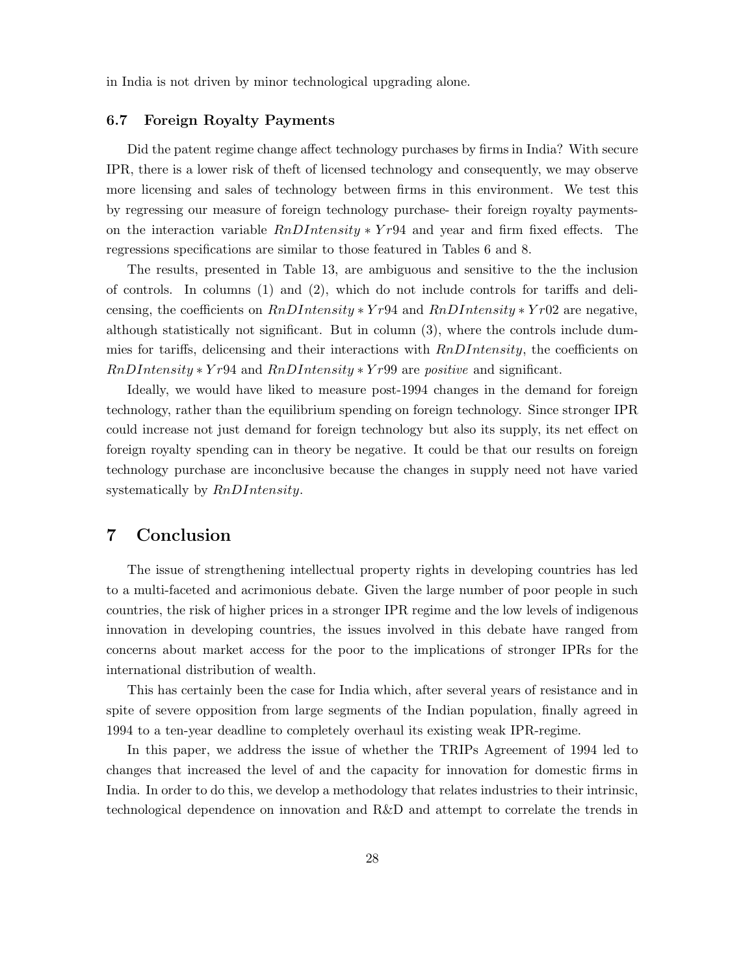in India is not driven by minor technological upgrading alone.

## 6.7 Foreign Royalty Payments

Did the patent regime change affect technology purchases by firms in India? With secure IPR, there is a lower risk of theft of licensed technology and consequently, we may observe more licensing and sales of technology between firms in this environment. We test this by regressing our measure of foreign technology purchase- their foreign royalty paymentson the interaction variable  $RnDIntensity * Yr94$  and year and firm fixed effects. The regressions specifications are similar to those featured in Tables 6 and 8.

The results, presented in Table 13, are ambiguous and sensitive to the the inclusion of controls. In columns (1) and (2), which do not include controls for tariffs and delicensing, the coefficients on  $RnDIntensity * Yr94$  and  $RnDIntensity * Yr02$  are negative, although statistically not significant. But in column (3), where the controls include dummies for tariffs, delicensing and their interactions with  $RnDIntensity$ , the coefficients on  $RnDIntensity * Yr94$  and  $RnDIntensity * Yr99$  are positive and significant.

Ideally, we would have liked to measure post-1994 changes in the demand for foreign technology, rather than the equilibrium spending on foreign technology. Since stronger IPR could increase not just demand for foreign technology but also its supply, its net effect on foreign royalty spending can in theory be negative. It could be that our results on foreign technology purchase are inconclusive because the changes in supply need not have varied systematically by  $RnDIntensity$ .

# 7 Conclusion

The issue of strengthening intellectual property rights in developing countries has led to a multi-faceted and acrimonious debate. Given the large number of poor people in such countries, the risk of higher prices in a stronger IPR regime and the low levels of indigenous innovation in developing countries, the issues involved in this debate have ranged from concerns about market access for the poor to the implications of stronger IPRs for the international distribution of wealth.

This has certainly been the case for India which, after several years of resistance and in spite of severe opposition from large segments of the Indian population, finally agreed in 1994 to a ten-year deadline to completely overhaul its existing weak IPR-regime.

In this paper, we address the issue of whether the TRIPs Agreement of 1994 led to changes that increased the level of and the capacity for innovation for domestic firms in India. In order to do this, we develop a methodology that relates industries to their intrinsic, technological dependence on innovation and R&D and attempt to correlate the trends in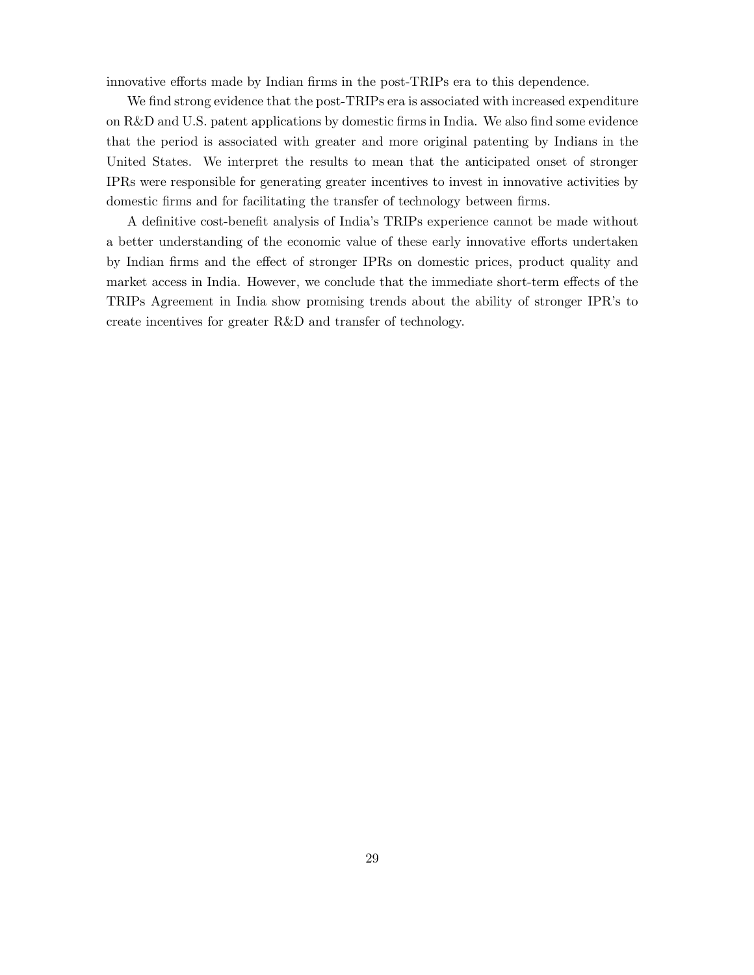innovative efforts made by Indian firms in the post-TRIPs era to this dependence.

We find strong evidence that the post-TRIPs era is associated with increased expenditure on R&D and U.S. patent applications by domestic firms in India. We also find some evidence that the period is associated with greater and more original patenting by Indians in the United States. We interpret the results to mean that the anticipated onset of stronger IPRs were responsible for generating greater incentives to invest in innovative activities by domestic firms and for facilitating the transfer of technology between firms.

A definitive cost-benefit analysis of India's TRIPs experience cannot be made without a better understanding of the economic value of these early innovative efforts undertaken by Indian firms and the effect of stronger IPRs on domestic prices, product quality and market access in India. However, we conclude that the immediate short-term effects of the TRIPs Agreement in India show promising trends about the ability of stronger IPR's to create incentives for greater R&D and transfer of technology.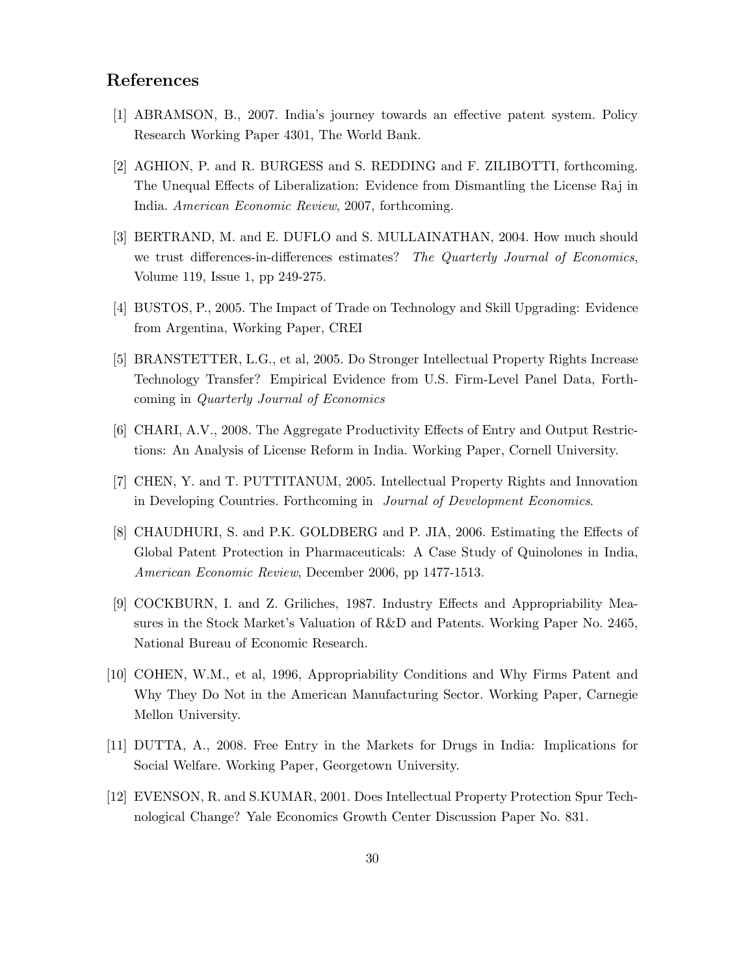# References

- [1] ABRAMSON, B., 2007. India's journey towards an effective patent system. Policy Research Working Paper 4301, The World Bank.
- [2] AGHION, P. and R. BURGESS and S. REDDING and F. ZILIBOTTI, forthcoming. The Unequal Effects of Liberalization: Evidence from Dismantling the License Raj in India. American Economic Review, 2007, forthcoming.
- [3] BERTRAND, M. and E. DUFLO and S. MULLAINATHAN, 2004. How much should we trust differences-in-differences estimates? The Quarterly Journal of Economics, Volume 119, Issue 1, pp 249-275.
- [4] BUSTOS, P., 2005. The Impact of Trade on Technology and Skill Upgrading: Evidence from Argentina, Working Paper, CREI
- [5] BRANSTETTER, L.G., et al, 2005. Do Stronger Intellectual Property Rights Increase Technology Transfer? Empirical Evidence from U.S. Firm-Level Panel Data, Forthcoming in Quarterly Journal of Economics
- [6] CHARI, A.V., 2008. The Aggregate Productivity Effects of Entry and Output Restrictions: An Analysis of License Reform in India. Working Paper, Cornell University.
- [7] CHEN, Y. and T. PUTTITANUM, 2005. Intellectual Property Rights and Innovation in Developing Countries. Forthcoming in Journal of Development Economics.
- [8] CHAUDHURI, S. and P.K. GOLDBERG and P. JIA, 2006. Estimating the Effects of Global Patent Protection in Pharmaceuticals: A Case Study of Quinolones in India, American Economic Review, December 2006, pp 1477-1513.
- [9] COCKBURN, I. and Z. Griliches, 1987. Industry Effects and Appropriability Measures in the Stock Market's Valuation of R&D and Patents. Working Paper No. 2465, National Bureau of Economic Research.
- [10] COHEN, W.M., et al, 1996, Appropriability Conditions and Why Firms Patent and Why They Do Not in the American Manufacturing Sector. Working Paper, Carnegie Mellon University.
- [11] DUTTA, A., 2008. Free Entry in the Markets for Drugs in India: Implications for Social Welfare. Working Paper, Georgetown University.
- [12] EVENSON, R. and S.KUMAR, 2001. Does Intellectual Property Protection Spur Technological Change? Yale Economics Growth Center Discussion Paper No. 831.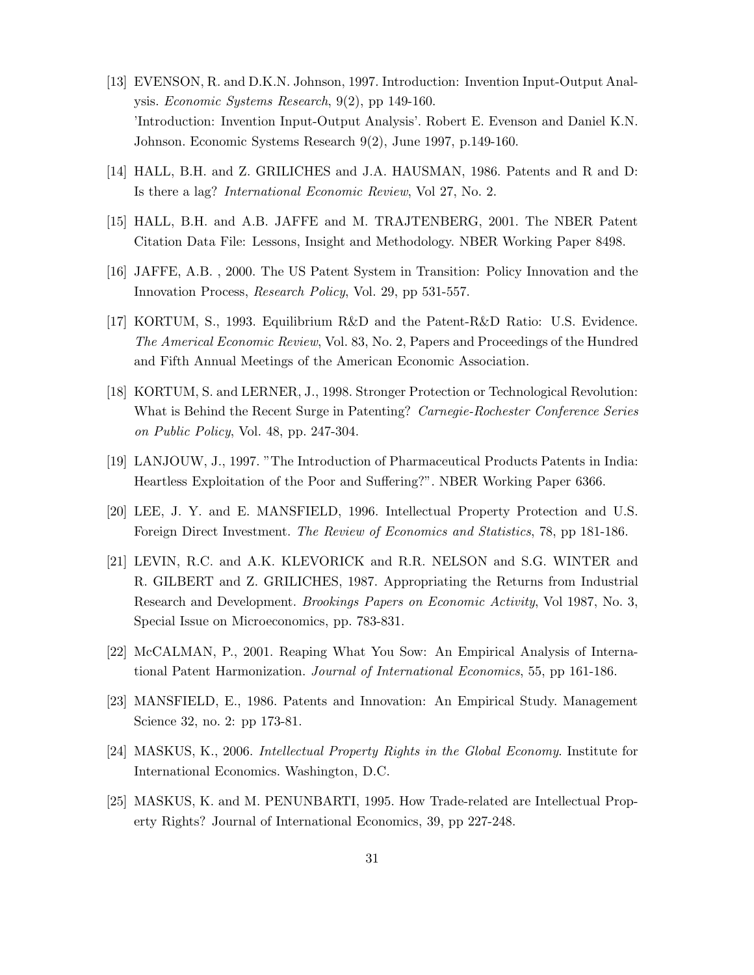- [13] EVENSON, R. and D.K.N. Johnson, 1997. Introduction: Invention Input-Output Analysis. Economic Systems Research, 9(2), pp 149-160. 'Introduction: Invention Input-Output Analysis'. Robert E. Evenson and Daniel K.N. Johnson. Economic Systems Research 9(2), June 1997, p.149-160.
- [14] HALL, B.H. and Z. GRILICHES and J.A. HAUSMAN, 1986. Patents and R and D: Is there a lag? International Economic Review, Vol 27, No. 2.
- [15] HALL, B.H. and A.B. JAFFE and M. TRAJTENBERG, 2001. The NBER Patent Citation Data File: Lessons, Insight and Methodology. NBER Working Paper 8498.
- [16] JAFFE, A.B. , 2000. The US Patent System in Transition: Policy Innovation and the Innovation Process, Research Policy, Vol. 29, pp 531-557.
- [17] KORTUM, S., 1993. Equilibrium R&D and the Patent-R&D Ratio: U.S. Evidence. The Americal Economic Review, Vol. 83, No. 2, Papers and Proceedings of the Hundred and Fifth Annual Meetings of the American Economic Association.
- [18] KORTUM, S. and LERNER, J., 1998. Stronger Protection or Technological Revolution: What is Behind the Recent Surge in Patenting? Carnegie-Rochester Conference Series on Public Policy, Vol. 48, pp. 247-304.
- [19] LANJOUW, J., 1997. "The Introduction of Pharmaceutical Products Patents in India: Heartless Exploitation of the Poor and Suffering?". NBER Working Paper 6366.
- [20] LEE, J. Y. and E. MANSFIELD, 1996. Intellectual Property Protection and U.S. Foreign Direct Investment. The Review of Economics and Statistics, 78, pp 181-186.
- [21] LEVIN, R.C. and A.K. KLEVORICK and R.R. NELSON and S.G. WINTER and R. GILBERT and Z. GRILICHES, 1987. Appropriating the Returns from Industrial Research and Development. Brookings Papers on Economic Activity, Vol 1987, No. 3, Special Issue on Microeconomics, pp. 783-831.
- [22] McCALMAN, P., 2001. Reaping What You Sow: An Empirical Analysis of International Patent Harmonization. Journal of International Economics, 55, pp 161-186.
- [23] MANSFIELD, E., 1986. Patents and Innovation: An Empirical Study. Management Science 32, no. 2: pp 173-81.
- [24] MASKUS, K., 2006. Intellectual Property Rights in the Global Economy. Institute for International Economics. Washington, D.C.
- [25] MASKUS, K. and M. PENUNBARTI, 1995. How Trade-related are Intellectual Property Rights? Journal of International Economics, 39, pp 227-248.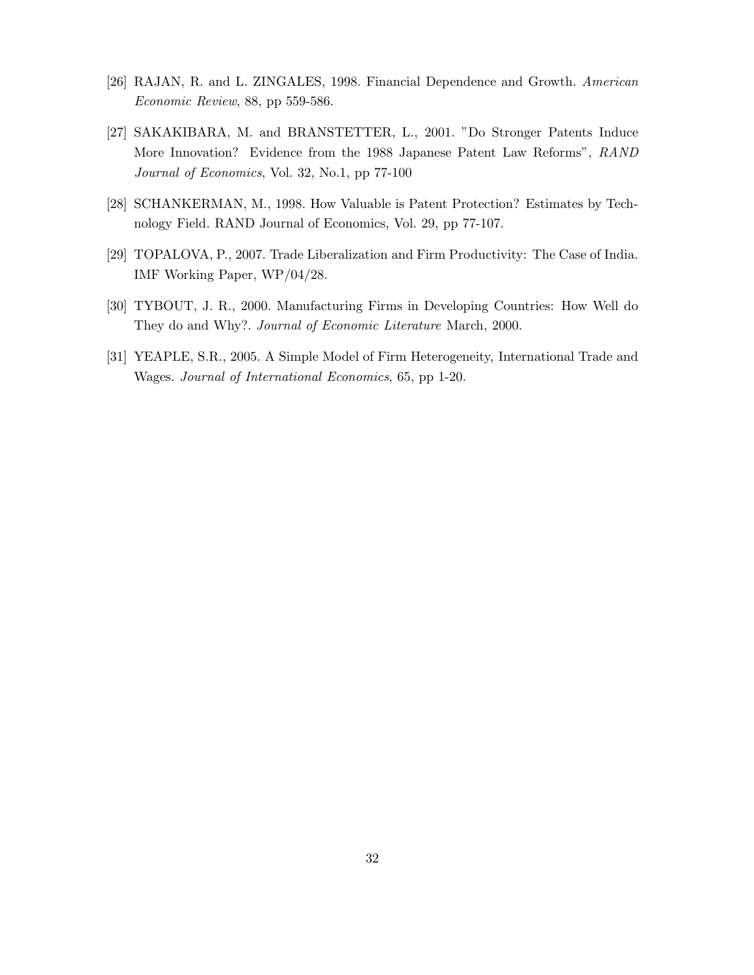- [26] RAJAN, R. and L. ZINGALES, 1998. Financial Dependence and Growth. American Economic Review, 88, pp 559-586.
- [27] SAKAKIBARA, M. and BRANSTETTER, L., 2001. "Do Stronger Patents Induce More Innovation? Evidence from the 1988 Japanese Patent Law Reforms", RAND Journal of Economics, Vol. 32, No.1, pp 77-100
- [28] SCHANKERMAN, M., 1998. How Valuable is Patent Protection? Estimates by Technology Field. RAND Journal of Economics, Vol. 29, pp 77-107.
- [29] TOPALOVA, P., 2007. Trade Liberalization and Firm Productivity: The Case of India. IMF Working Paper, WP/04/28.
- [30] TYBOUT, J. R., 2000. Manufacturing Firms in Developing Countries: How Well do They do and Why?. Journal of Economic Literature March, 2000.
- [31] YEAPLE, S.R., 2005. A Simple Model of Firm Heterogeneity, International Trade and Wages. Journal of International Economics, 65, pp 1-20.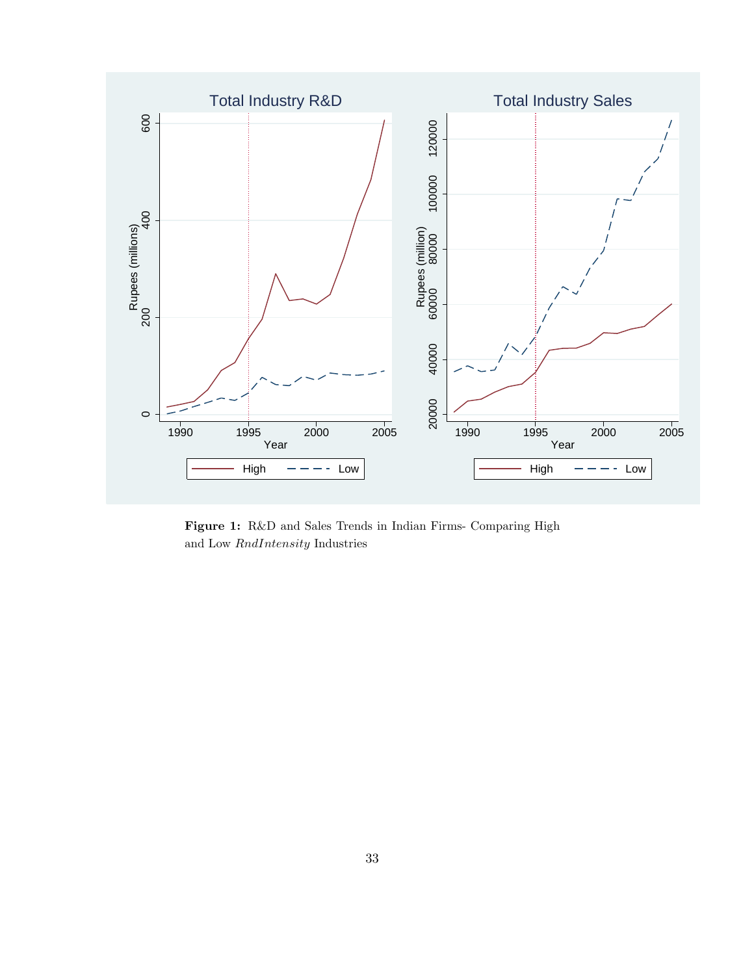

Figure 1: R&D and Sales Trends in Indian Firms- Comparing High and Low RndIntensity Industries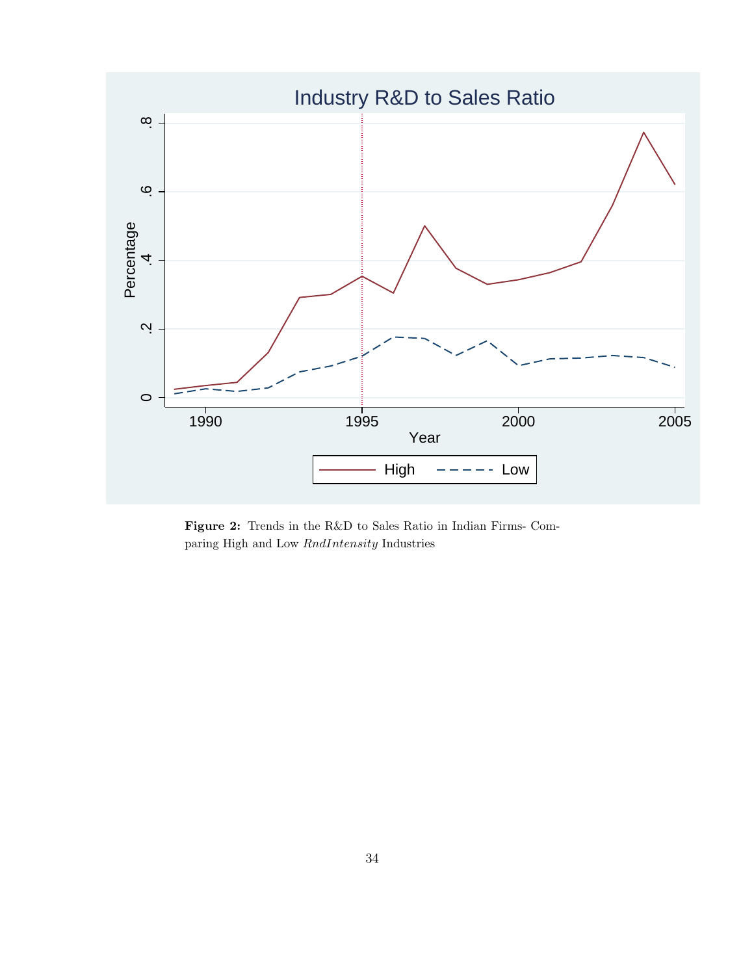

Figure 2: Trends in the R&D to Sales Ratio in Indian Firms- Comparing High and Low RndIntensity Industries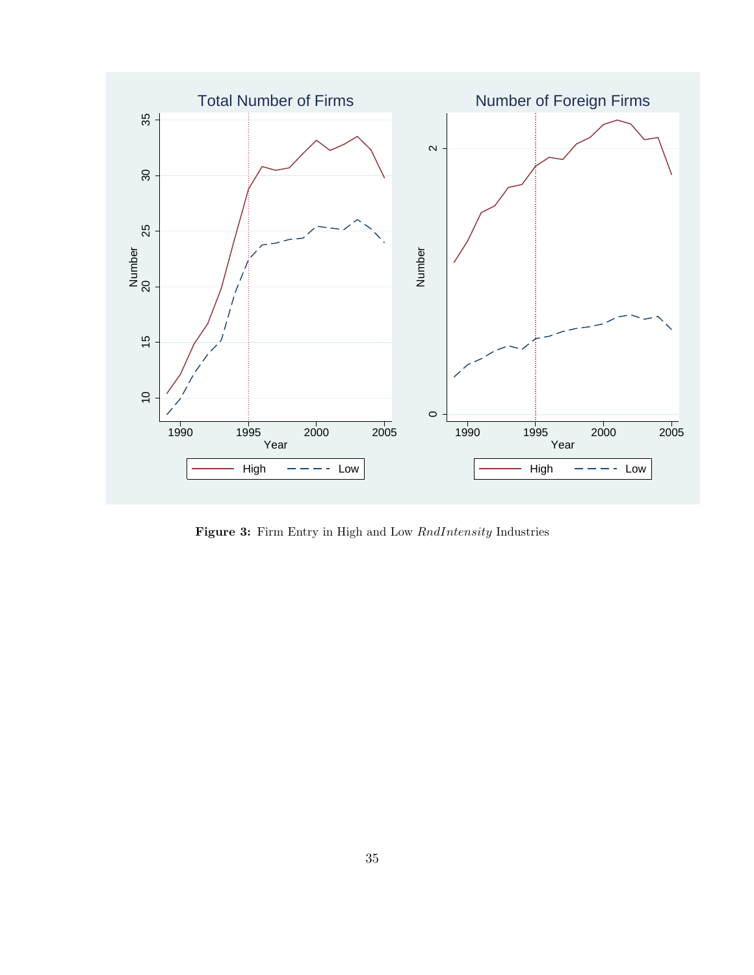

Figure 3: Firm Entry in High and Low  $RndIntensity$  Industries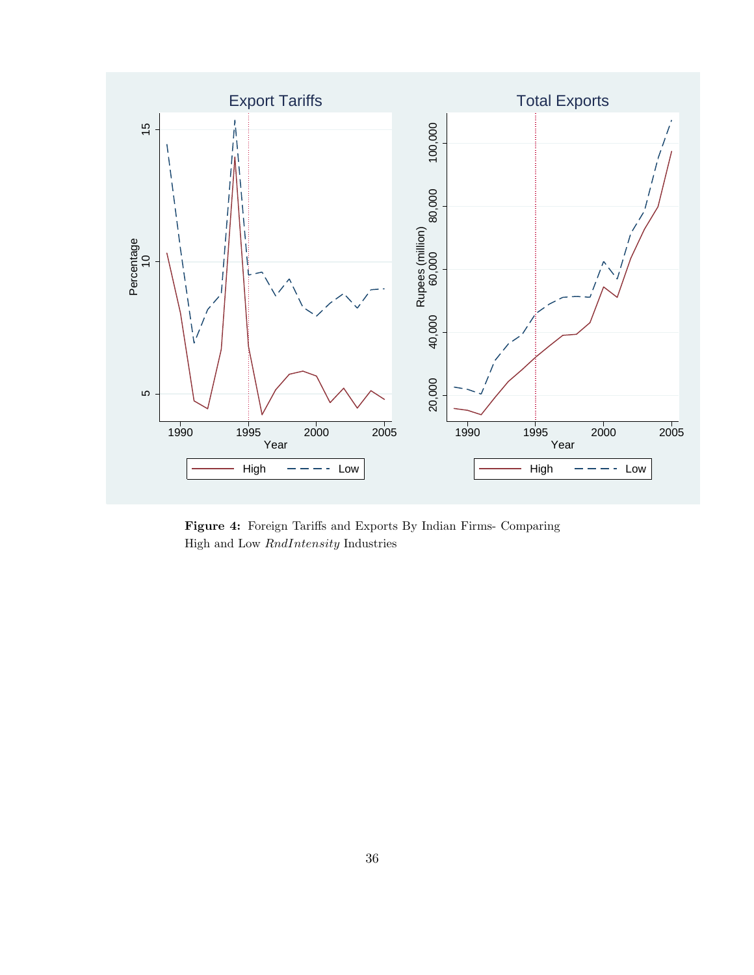

Figure 4: Foreign Tariffs and Exports By Indian Firms- Comparing High and Low RndIntensity Industries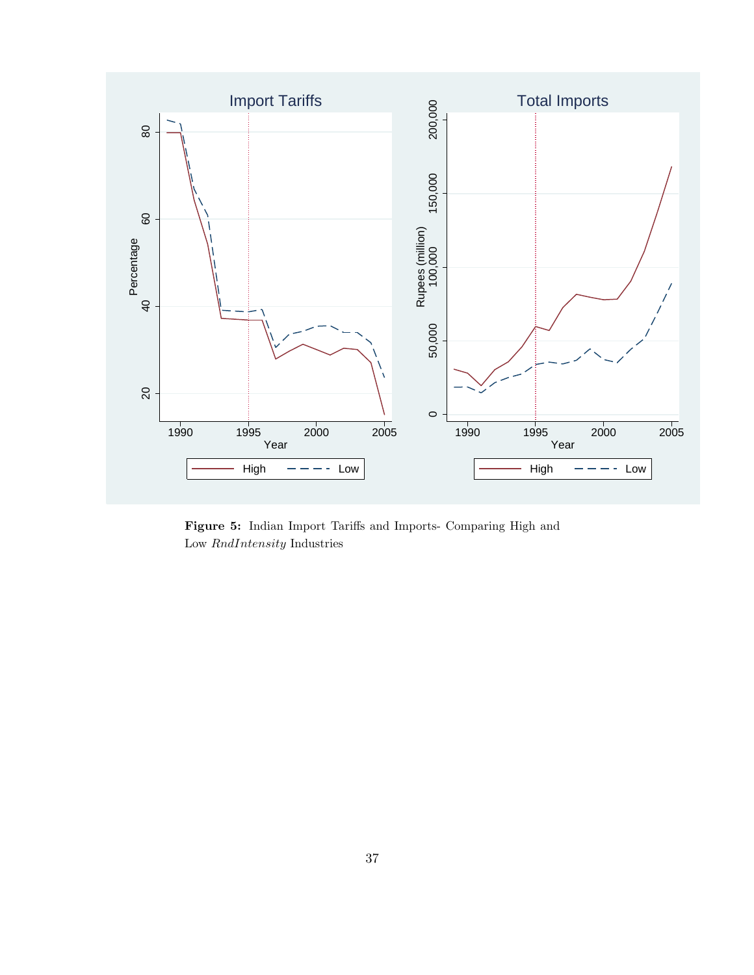

Figure 5: Indian Import Tariffs and Imports- Comparing High and Low RndIntensity Industries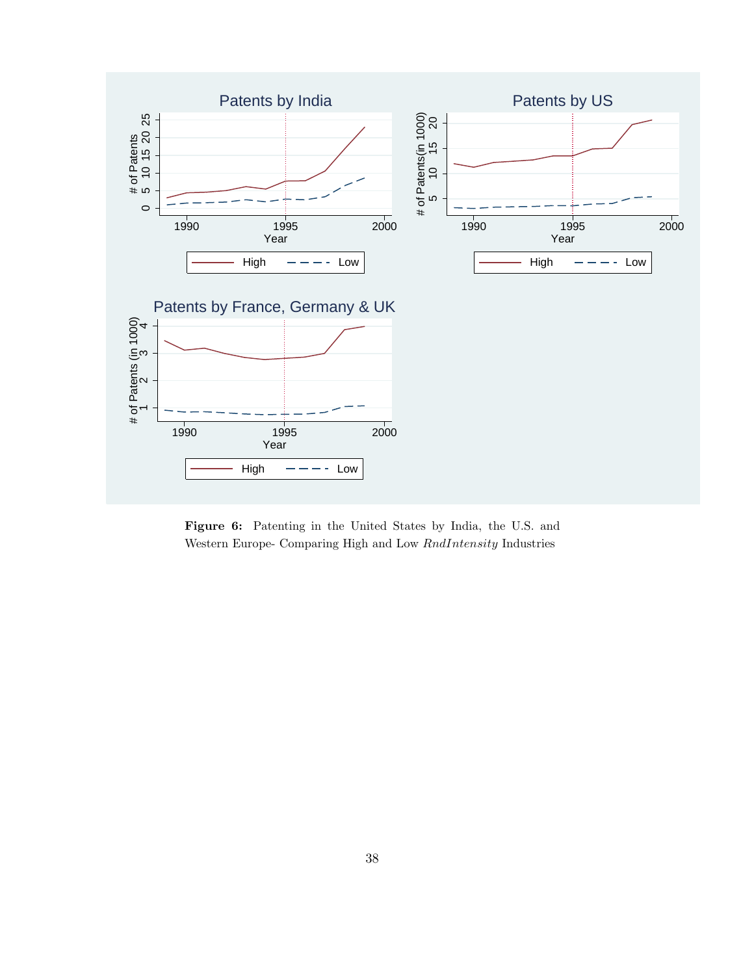

Figure 6: Patenting in the United States by India, the U.S. and Western Europe- Comparing High and Low RndIntensity Industries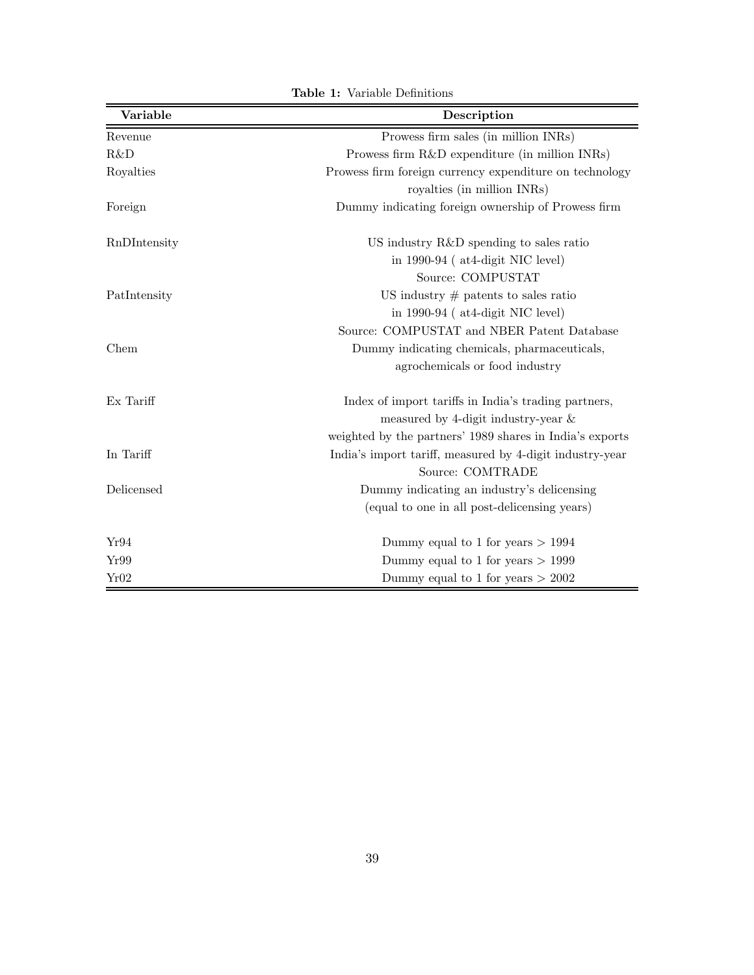| Variable     | Description                                                                            |
|--------------|----------------------------------------------------------------------------------------|
| Revenue      | Prowess firm sales (in million INRs)                                                   |
| R&D          | Prowess firm R&D expenditure (in million INRs)                                         |
| Royalties    | Prowess firm foreign currency expenditure on technology<br>royalties (in million INRs) |
| Foreign      | Dummy indicating foreign ownership of Prowess firm                                     |
| RnDIntensity | US industry R&D spending to sales ratio                                                |
|              | in $1990-94$ (at 4-digit NIC level)                                                    |
|              | Source: COMPUSTAT                                                                      |
| PatIntensity | US industry $#$ patents to sales ratio                                                 |
|              | in $1990-94$ (at 4-digit NIC level)                                                    |
|              | Source: COMPUSTAT and NBER Patent Database                                             |
| Chem         | Dummy indicating chemicals, pharmaceuticals,                                           |
|              | agrochemicals or food industry                                                         |
| Ex Tariff    | Index of import tariffs in India's trading partners,                                   |
|              | measured by 4-digit industry-year $\&$                                                 |
|              | weighted by the partners' 1989 shares in India's exports                               |
| In Tariff    | India's import tariff, measured by 4-digit industry-year                               |
|              | Source: COMTRADE                                                                       |
| Delicensed   | Dummy indicating an industry's delicensing                                             |
|              | (equal to one in all post-delicensing years)                                           |
| Yr94         | Dummy equal to 1 for years $> 1994$                                                    |
| Yr99         | Dummy equal to 1 for years $> 1999$                                                    |
| Yr02         | Dummy equal to 1 for years $> 2002$                                                    |

Table 1: Variable Definitions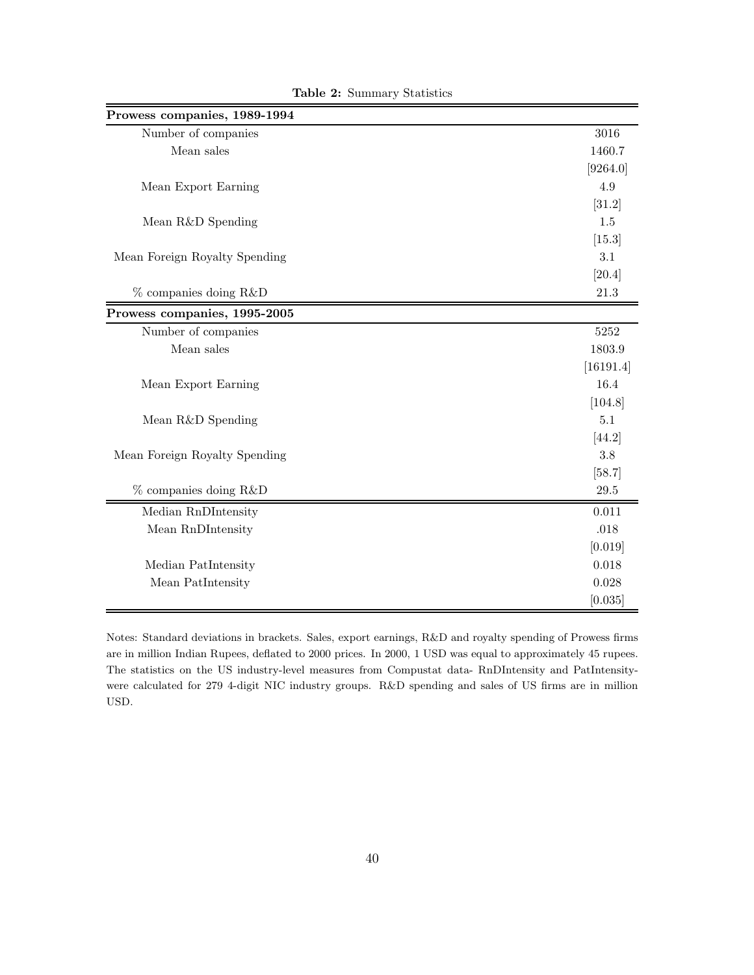| Prowess companies, 1989-1994  |           |
|-------------------------------|-----------|
| Number of companies           | 3016      |
| Mean sales                    | 1460.7    |
|                               | [9264.0]  |
| Mean Export Earning           | 4.9       |
|                               | [31.2]    |
| Mean R&D Spending             | 1.5       |
|                               | [15.3]    |
| Mean Foreign Royalty Spending | 3.1       |
|                               | [20.4]    |
| $%$ companies doing R&D       | 21.3      |
| Prowess companies, 1995-2005  |           |
| Number of companies           | 5252      |
| Mean sales                    | 1803.9    |
|                               | [16191.4] |
| Mean Export Earning           | 16.4      |
|                               | [104.8]   |
| Mean R&D Spending             | 5.1       |
|                               | [44.2]    |
| Mean Foreign Royalty Spending | 3.8       |
|                               | [58.7]    |
| $%$ companies doing R&D       | $29.5\,$  |
| Median RnDIntensity           | 0.011     |
| Mean RnDIntensity             | .018      |
|                               | [0.019]   |
| Median PatIntensity           | 0.018     |
| Mean PatIntensity             | 0.028     |
|                               | [0.035]   |

Table 2: Summary Statistics

Notes: Standard deviations in brackets. Sales, export earnings, R&D and royalty spending of Prowess firms are in million Indian Rupees, deflated to 2000 prices. In 2000, 1 USD was equal to approximately 45 rupees. The statistics on the US industry-level measures from Compustat data- RnDIntensity and PatIntensitywere calculated for 279 4-digit NIC industry groups. R&D spending and sales of US firms are in million USD.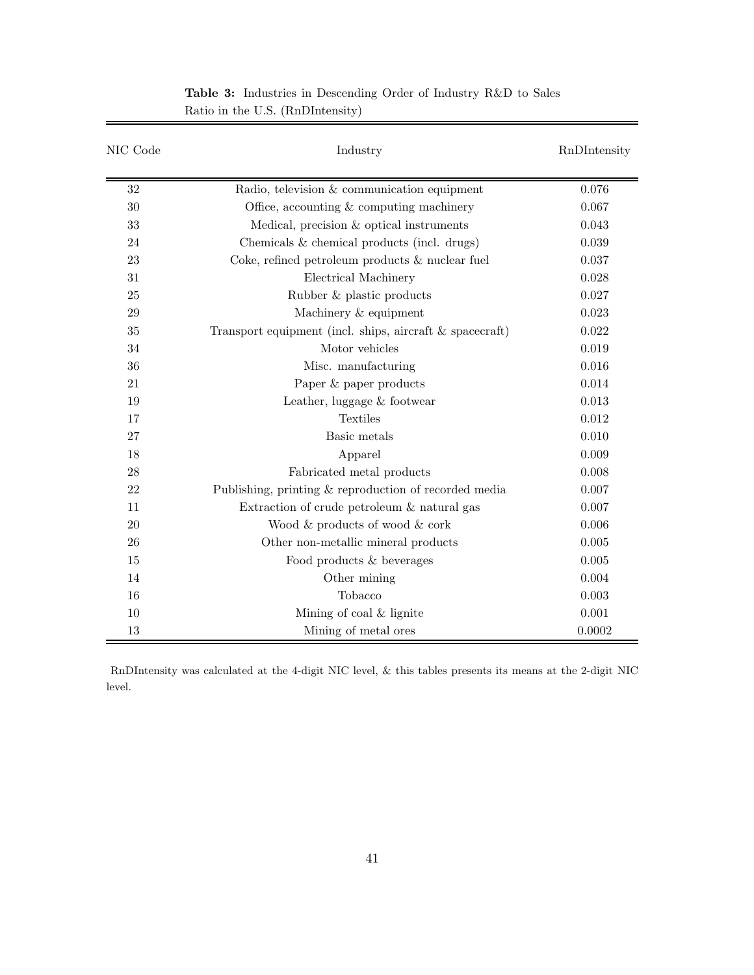| NIC Code | Industry                                                    | RnDIntensity |
|----------|-------------------------------------------------------------|--------------|
| 32       | Radio, television & communication equipment                 | 0.076        |
| 30       | Office, accounting $&$ computing machinery                  | 0.067        |
| 33       | Medical, precision & optical instruments                    | 0.043        |
| 24       | Chemicals & chemical products (incl. drugs)                 | 0.039        |
| 23       | Coke, refined petroleum products $\&$ nuclear fuel          | 0.037        |
| 31       | Electrical Machinery                                        | 0.028        |
| 25       | Rubber & plastic products                                   | 0.027        |
| 29       | Machinery & equipment                                       | 0.023        |
| 35       | Transport equipment (incl. ships, aircraft $\&$ spacecraft) | 0.022        |
| 34       | Motor vehicles                                              | 0.019        |
| 36       | Misc. manufacturing                                         | 0.016        |
| 21       | Paper & paper products                                      | 0.014        |
| 19       | Leather, luggage & footwear                                 | 0.013        |
| 17       | <b>Textiles</b>                                             | 0.012        |
| 27       | Basic metals                                                | 0.010        |
| 18       | Apparel                                                     | 0.009        |
| 28       | Fabricated metal products                                   | 0.008        |
| 22       | Publishing, printing & reproduction of recorded media       | 0.007        |
| 11       | Extraction of crude petroleum $\&$ natural gas              | 0.007        |
| 20       | Wood & products of wood & cork                              | 0.006        |
| 26       | Other non-metallic mineral products                         | 0.005        |
| 15       | Food products & beverages                                   | 0.005        |
| 14       | Other mining                                                | 0.004        |
| 16       | Tobacco                                                     | 0.003        |
| 10       | Mining of coal & lignite                                    | 0.001        |
| 13       | Mining of metal ores                                        | 0.0002       |

Table 3: Industries in Descending Order of Industry R&D to Sales Ratio in the U.S. (RnDIntensity)

RnDIntensity was calculated at the 4-digit NIC level, & this tables presents its means at the 2-digit NIC level.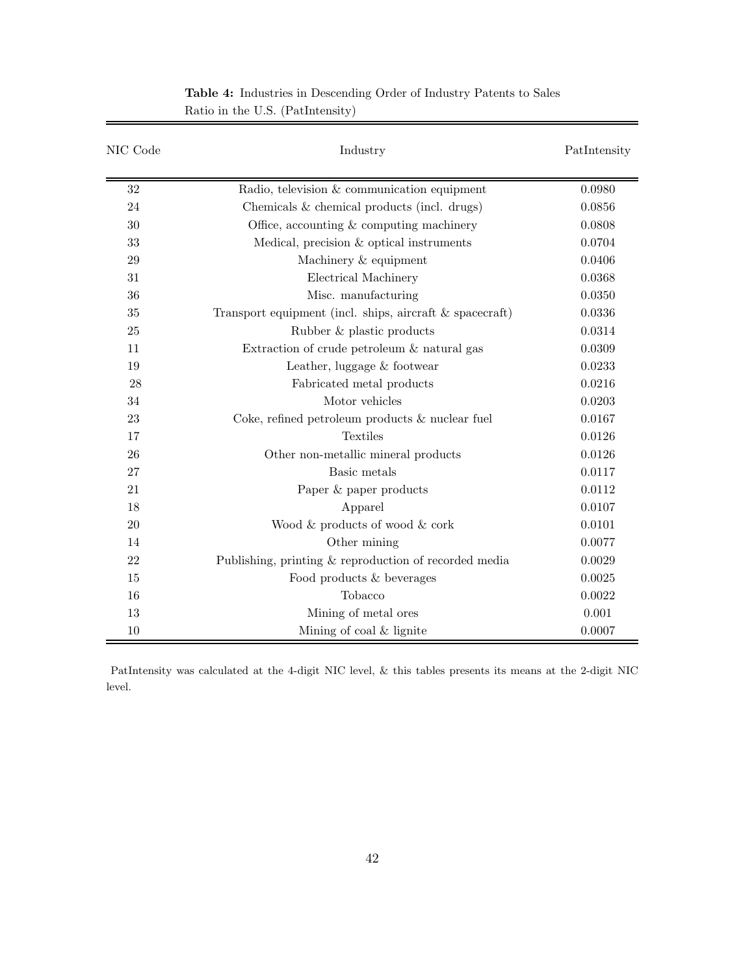| NIC Code | Industry                                                    | PatIntensity |
|----------|-------------------------------------------------------------|--------------|
| 32       | Radio, television & communication equipment                 | 0.0980       |
| 24       | Chemicals & chemical products (incl. drugs)                 | 0.0856       |
| 30       | Office, accounting $&$ computing machinery                  | 0.0808       |
| 33       | Medical, precision & optical instruments                    | 0.0704       |
| 29       | Machinery & equipment                                       | 0.0406       |
| 31       | Electrical Machinery                                        | 0.0368       |
| 36       | Misc. manufacturing                                         | 0.0350       |
| 35       | Transport equipment (incl. ships, aircraft $\&$ spacecraft) | 0.0336       |
| 25       | Rubber & plastic products                                   | 0.0314       |
| 11       | Extraction of crude petroleum & natural gas                 | 0.0309       |
| 19       | Leather, luggage $&$ footwear                               | 0.0233       |
| 28       | Fabricated metal products                                   | 0.0216       |
| 34       | Motor vehicles                                              | 0.0203       |
| 23       | Coke, refined petroleum products $\&$ nuclear fuel          | 0.0167       |
| 17       | <b>Textiles</b>                                             | 0.0126       |
| 26       | Other non-metallic mineral products                         | 0.0126       |
| 27       | Basic metals                                                | 0.0117       |
| 21       | Paper & paper products                                      | 0.0112       |
| 18       | Apparel                                                     | 0.0107       |
| 20       | Wood & products of wood & cork                              | 0.0101       |
| 14       | Other mining                                                | 0.0077       |
| 22       | Publishing, printing & reproduction of recorded media       | 0.0029       |
| 15       | Food products & beverages                                   | 0.0025       |
| 16       | Tobacco                                                     | 0.0022       |
| 13       | Mining of metal ores                                        | 0.001        |
| 10       | Mining of coal $&$ lignite                                  | 0.0007       |

Table 4: Industries in Descending Order of Industry Patents to Sales Ratio in the U.S. (PatIntensity)

PatIntensity was calculated at the 4-digit NIC level, & this tables presents its means at the 2-digit NIC level.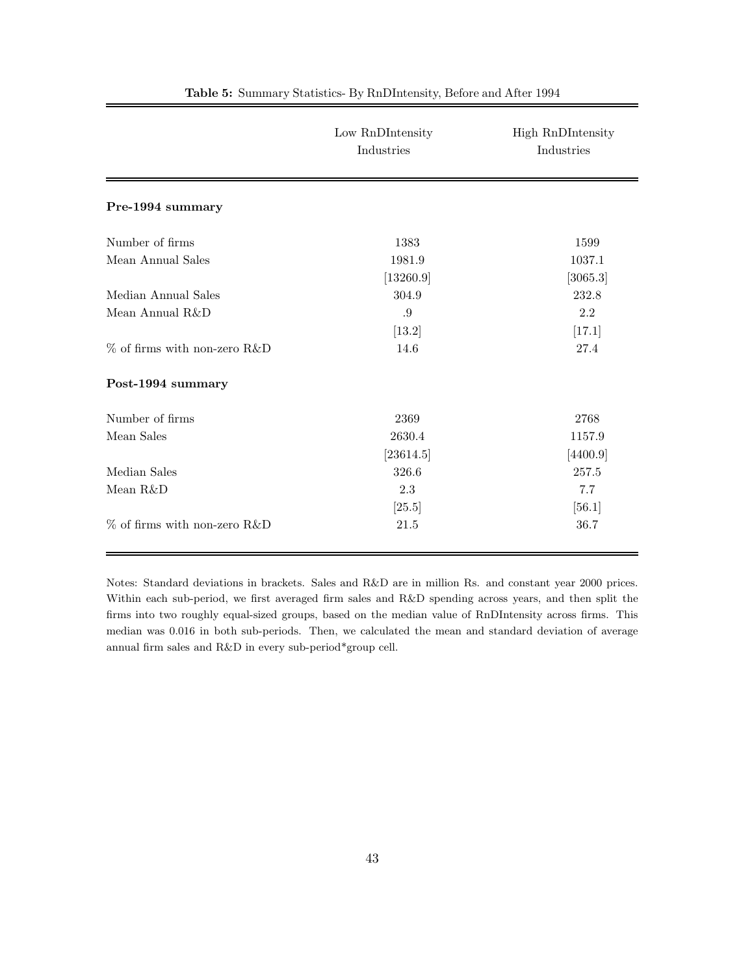|                                 | Low RnDIntensity<br>Industries | <b>High RnDIntensity</b><br>Industries |
|---------------------------------|--------------------------------|----------------------------------------|
| Pre-1994 summary                |                                |                                        |
| Number of firms                 | 1383                           | 1599                                   |
| Mean Annual Sales               | 1981.9                         | 1037.1                                 |
|                                 | [13260.9]                      | [3065.3]                               |
| Median Annual Sales             | 304.9                          | 232.8                                  |
| Mean Annual R&D                 | .9                             | 2.2                                    |
|                                 | $[13.2]$                       | [17.1]                                 |
| $\%$ of firms with non-zero R&D | 14.6                           | 27.4                                   |
| Post-1994 summary               |                                |                                        |
| Number of firms                 | 2369                           | 2768                                   |
| Mean Sales                      | 2630.4                         | 1157.9                                 |
|                                 | [23614.5]                      | [4400.9]                               |
| Median Sales                    | 326.6                          | 257.5                                  |
| Mean R&D                        | 2.3                            | 7.7                                    |
|                                 | [25.5]                         | $[56.1]$                               |
| $\%$ of firms with non-zero R&D | 21.5                           | 36.7                                   |

#### Table 5: Summary Statistics- By RnDIntensity, Before and After 1994

Notes: Standard deviations in brackets. Sales and R&D are in million Rs. and constant year 2000 prices. Within each sub-period, we first averaged firm sales and R&D spending across years, and then split the firms into two roughly equal-sized groups, based on the median value of RnDIntensity across firms. This median was 0.016 in both sub-periods. Then, we calculated the mean and standard deviation of average annual firm sales and R&D in every sub-period\*group cell.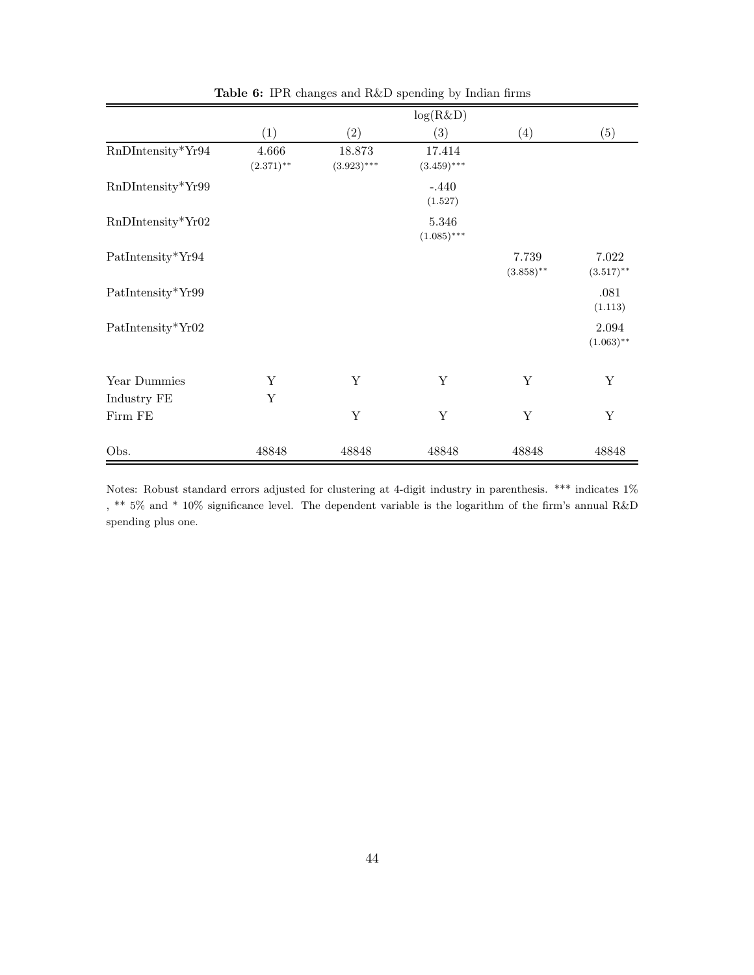|                     |                       |                         | log(R&D)                |                       |                       |
|---------------------|-----------------------|-------------------------|-------------------------|-----------------------|-----------------------|
|                     | (1)                   | (2)                     | (3)                     | (4)                   | (5)                   |
| RnDIntensity*Yr94   | 4.666<br>$(2.371)$ ** | 18.873<br>$(3.923)$ *** | 17.414<br>$(3.459)$ *** |                       |                       |
| RnDIntensity*Yr99   |                       |                         | $-.440$<br>(1.527)      |                       |                       |
| $RnDIntensity*Yr02$ |                       |                         | 5.346<br>$(1.085)$ ***  |                       |                       |
| PatIntensity*Yr94   |                       |                         |                         | 7.739<br>$(3.858)$ ** | 7.022<br>$(3.517)$ ** |
| PatIntensity*Yr99   |                       |                         |                         |                       | .081<br>(1.113)       |
| PatIntensity*Yr02   |                       |                         |                         |                       | 2.094<br>$(1.063)$ ** |
| Year Dummies        | Υ                     | Y                       | Y                       | Y                     | Υ                     |
| Industry FE         | Υ                     |                         |                         |                       |                       |
| Firm FE             |                       | Y                       | Υ                       | Y                     | Y                     |
| Obs.                | 48848                 | 48848                   | 48848                   | 48848                 | 48848                 |

Table 6: IPR changes and R&D spending by Indian firms

Notes: Robust standard errors adjusted for clustering at 4-digit industry in parenthesis. \*\*\* indicates 1% , \*\* 5% and \* 10% significance level. The dependent variable is the logarithm of the firm's annual R&D spending plus one.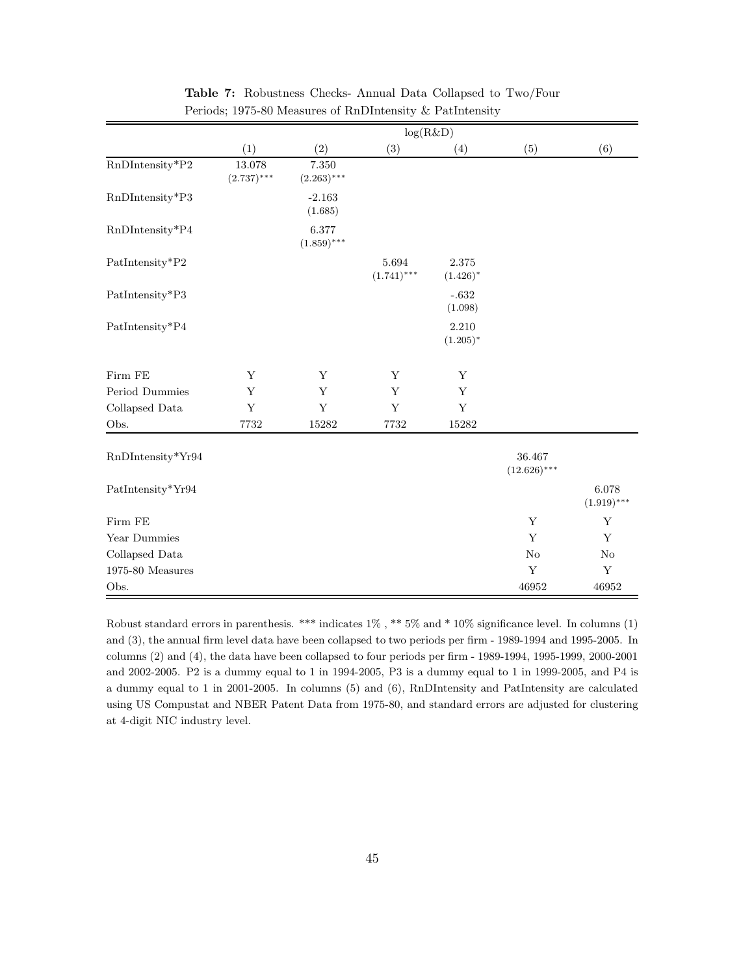|                                               | log(R&D)                |                        |                            |                          |                          |                        |
|-----------------------------------------------|-------------------------|------------------------|----------------------------|--------------------------|--------------------------|------------------------|
|                                               | (1)                     | (2)                    | (3)                        | (4)                      | (5)                      | (6)                    |
| RnDIntensity*P2                               | 13.078<br>$(2.737)$ *** | 7.350<br>$(2.263)$ *** |                            |                          |                          |                        |
| RnDIntensity*P3                               |                         | $-2.163$<br>(1.685)    |                            |                          |                          |                        |
| RnDIntensity*P4                               |                         | 6.377<br>$(1.859)$ *** |                            |                          |                          |                        |
| $\operatorname{Paththensity*} \! \mathbf{P2}$ |                         |                        | $5.694\,$<br>$(1.741)$ *** | $2.375\,$<br>$(1.426)^*$ |                          |                        |
| PatIntensity*P3                               |                         |                        |                            | $-.632$<br>(1.098)       |                          |                        |
| PatIntensity*P4                               |                         |                        |                            | 2.210<br>$(1.205)^*$     |                          |                        |
| Firm FE                                       | Y                       | Y                      | Y                          | Y                        |                          |                        |
| Period Dummies                                | Y                       | Y                      | Y                          | Y                        |                          |                        |
| Collapsed Data                                | $\mathbf Y$             | Y                      | $\mathbf Y$                | $\mathbf Y$              |                          |                        |
| Obs.                                          | 7732                    | $15282\,$              | 7732                       | 15282                    |                          |                        |
| RnDIntensity*Yr94                             |                         |                        |                            |                          | 36.467<br>$(12.626)$ *** |                        |
| PatIntensity*Yr94                             |                         |                        |                            |                          |                          | 6.078<br>$(1.919)$ *** |
| Firm FE                                       |                         |                        |                            |                          | $\mathbf Y$              | Y                      |
| Year Dummies                                  |                         |                        |                            |                          | $\mathbf Y$              | Y                      |
| Collapsed Data                                |                         |                        |                            |                          | No                       | No                     |
| 1975-80 Measures                              |                         |                        |                            |                          | Y                        | Y                      |
| Obs.                                          |                         |                        |                            |                          | 46952                    | 46952                  |

Table 7: Robustness Checks- Annual Data Collapsed to Two/Four Periods; 1975-80 Measures of RnDIntensity & PatIntensity

Robust standard errors in parenthesis. \*\*\* indicates 1% , \*\* 5% and \* 10% significance level. In columns (1) and (3), the annual firm level data have been collapsed to two periods per firm - 1989-1994 and 1995-2005. In columns (2) and (4), the data have been collapsed to four periods per firm - 1989-1994, 1995-1999, 2000-2001 and 2002-2005. P2 is a dummy equal to 1 in 1994-2005, P3 is a dummy equal to 1 in 1999-2005, and P4 is a dummy equal to 1 in 2001-2005. In columns (5) and (6), RnDIntensity and PatIntensity are calculated using US Compustat and NBER Patent Data from 1975-80, and standard errors are adjusted for clustering at 4-digit NIC industry level.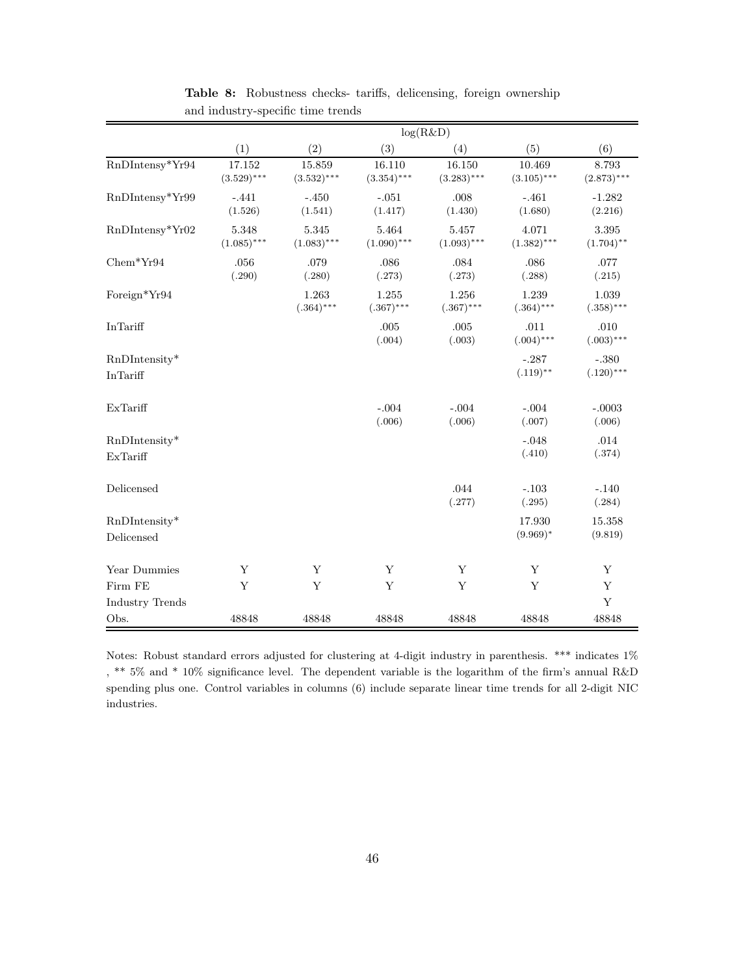|                                                      |                         |                         | log(R&D)                |                         |                         |                         |
|------------------------------------------------------|-------------------------|-------------------------|-------------------------|-------------------------|-------------------------|-------------------------|
|                                                      | (1)                     | (2)                     | (3)                     | (4)                     | (5)                     | (6)                     |
| $\mathit{RnDIntensy*\!Yr94}$                         | 17.152<br>$(3.529)$ *** | 15.859<br>$(3.532)$ *** | 16.110<br>$(3.354)$ *** | 16.150<br>$(3.283)$ *** | 10.469<br>$(3.105)$ *** | 8.793<br>$(2.873)$ ***  |
| RnDIntensy*Yr99                                      | $-.441$<br>(1.526)      | $-.450$<br>(1.541)      | $-.051$<br>(1.417)      | .008<br>(1.430)         | $-.461$<br>(1.680)      | $-1.282$<br>(2.216)     |
| RnDIntensy*Yr02                                      | 5.348<br>$(1.085)$ ***  | 5.345<br>$(1.083)$ ***  | 5.464<br>$(1.090)$ ***  | 5.457<br>$(1.093)$ ***  | 4.071<br>$(1.382)$ ***  | 3.395<br>$(1.704)$ **   |
| $Chem*Yr94$                                          | .056<br>(.290)          | .079<br>(.280)          | .086<br>(.273)          | .084<br>(.273)          | .086<br>(.288)          | .077<br>(.215)          |
| Foreign*Yr94                                         |                         | 1.263<br>$(.364)***$    | 1.255<br>$(.367)$ ***   | 1.256<br>$(.367)***$    | 1.239<br>$(.364)***$    | 1.039<br>$(.358)***$    |
| In Tariff                                            |                         |                         | .005<br>(.004)          | .005<br>(.003)          | .011<br>$(.004)$ ***    | .010<br>$(.003)$ ***    |
| $RnDIntensity*$<br>In Tariff                         |                         |                         |                         |                         | $-.287$<br>$(.119)$ **  | $-.380$<br>$(.120)$ *** |
| ExTariff                                             |                         |                         | $-.004$<br>(.006)       | $-.004$<br>(.006)       | $-.004$<br>(.007)       | $-.0003$<br>(.006)      |
| RnDIntensity*<br>ExTariff                            |                         |                         |                         |                         | $-.048$<br>(.410)       | .014<br>(.374)          |
| Delicensed                                           |                         |                         |                         | .044<br>(.277)          | $-.103$<br>(.295)       | $-.140$<br>(.284)       |
| $RnDIntensity*$<br>$\label{d:2} \textbf{Delicensed}$ |                         |                         |                         |                         | 17.930<br>$(9.969)*$    | 15.358<br>(9.819)       |
| Year Dummies                                         | Y                       | Y                       | Y                       | $\mathbf Y$             | Y                       | Y                       |
| Firm FE                                              | Y                       | Y                       | Y                       | Y                       | Y                       | Y                       |
| Industry Trends                                      |                         |                         |                         |                         |                         | Y                       |
| Obs.                                                 | 48848                   | 48848                   | 48848                   | 48848                   | 48848                   | 48848                   |

Table 8: Robustness checks- tariffs, delicensing, foreign ownership and industry-specific time trends

Notes: Robust standard errors adjusted for clustering at 4-digit industry in parenthesis. \*\*\* indicates 1% , \*\* 5% and \* 10% significance level. The dependent variable is the logarithm of the firm's annual R&D spending plus one. Control variables in columns (6) include separate linear time trends for all 2-digit NIC industries.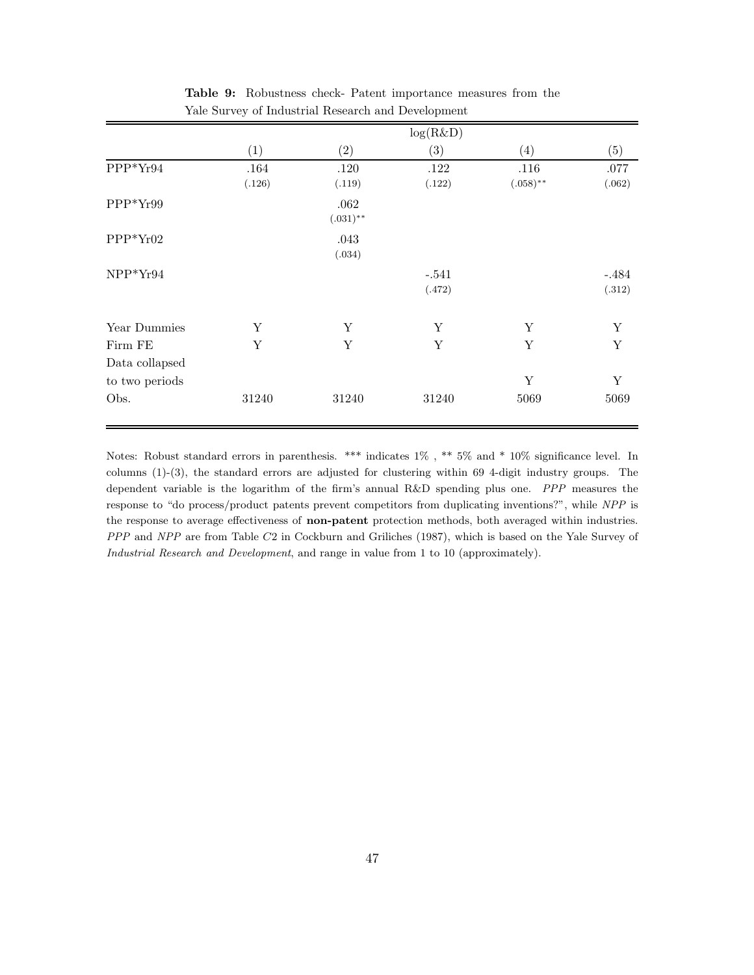|                           |                |                     | log(R&D)          |                     |                   |
|---------------------------|----------------|---------------------|-------------------|---------------------|-------------------|
|                           | (1)            | (2)                 | (3)               | (4)                 | (5)               |
| PPP*Yr94                  | .164<br>(.126) | .120<br>(.119)      | .122<br>(.122)    | .116<br>$(.058)$ ** | .077<br>(.062)    |
| $PPP*Yr99$                |                | .062<br>$(.031)$ ** |                   |                     |                   |
| $PPP*Yr02$                |                | .043<br>(.034)      |                   |                     |                   |
| $NPP*Yr94$                |                |                     | $-.541$<br>(.472) |                     | $-.484$<br>(.312) |
| Year Dummies              | Y              | Y                   | Y                 | Y                   | $\mathbf Y$       |
| Firm FE<br>Data collapsed | Y              | $\mathbf Y$         | $\mathbf Y$       | $\mathbf Y$         | $\mathbf Y$       |
| to two periods            |                |                     |                   | Y                   | Y                 |
| Obs.                      | 31240          | 31240               | 31240             | 5069                | 5069              |

Table 9: Robustness check- Patent importance measures from the Yale Survey of Industrial Research and Development

Notes: Robust standard errors in parenthesis. \*\*\* indicates 1% , \*\* 5% and \* 10% significance level. In columns (1)-(3), the standard errors are adjusted for clustering within 69 4-digit industry groups. The dependent variable is the logarithm of the firm's annual R&D spending plus one. PPP measures the response to "do process/product patents prevent competitors from duplicating inventions?", while NPP is the response to average effectiveness of non-patent protection methods, both averaged within industries. PPP and NPP are from Table C2 in Cockburn and Griliches (1987), which is based on the Yale Survey of Industrial Research and Development, and range in value from 1 to 10 (approximately).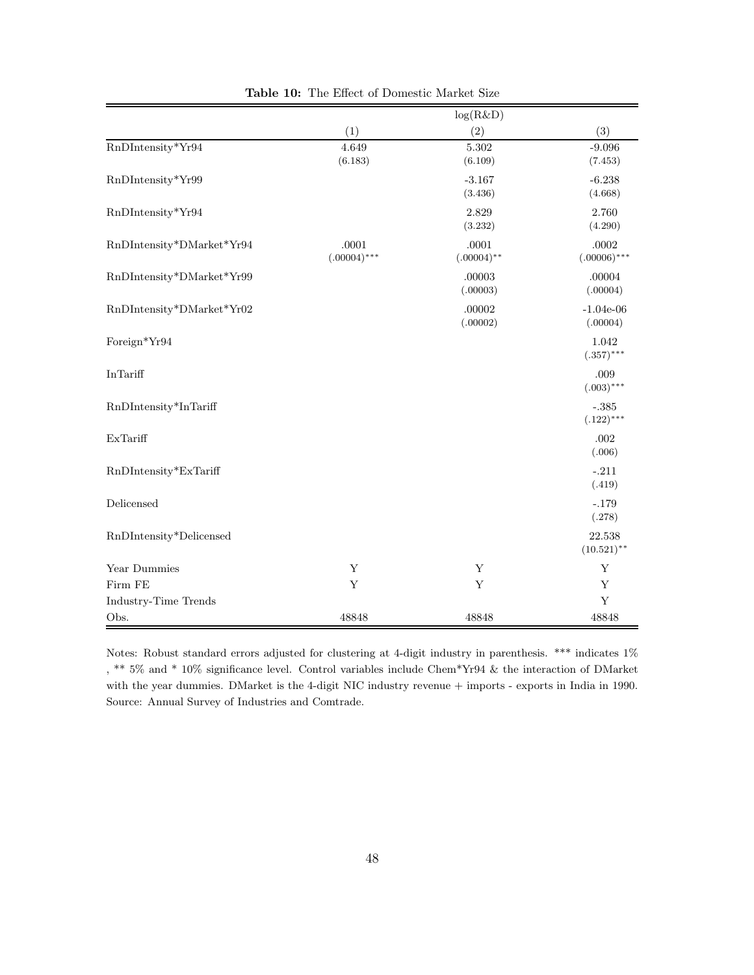|                           |                         | log(R&D)               |                             |
|---------------------------|-------------------------|------------------------|-----------------------------|
|                           | (1)                     | (2)                    | (3)                         |
| RnDIntensity*Yr94         | 4.649<br>(6.183)        | 5.302<br>(6.109)       | $-9.096$<br>(7.453)         |
| RnDIntensity*Yr99         |                         | $-3.167$<br>(3.436)    | $-6.238$<br>(4.668)         |
| RnDIntensity*Yr94         |                         | 2.829<br>(3.232)       | 2.760<br>(4.290)            |
| RnDIntensity*DMarket*Yr94 | .0001<br>$(.00004)$ *** | .0001<br>$(.00004)$ ** | $.0002\,$<br>$(.00006)$ *** |
| RnDIntensity*DMarket*Yr99 |                         | .00003<br>(.00003)     | .00004<br>(.00004)          |
| RnDIntensity*DMarket*Yr02 |                         | .00002<br>(.00002)     | $-1.04e-06$<br>(.00004)     |
| Foreign*Yr94              |                         |                        | 1.042<br>$(.357)***$        |
| InTariff                  |                         |                        | .009<br>$(.003)$ ***        |
| RnDIntensity*InTariff     |                         |                        | $-.385$<br>$(.122)***$      |
| ExTariff                  |                         |                        | $.002\,$<br>(.006)          |
| RnDIntensity*ExTariff     |                         |                        | $-.211$<br>(.419)           |
| Delicensed                |                         |                        | $-.179$<br>(.278)           |
| RnDIntensity*Delicensed   |                         |                        | 22.538<br>$(10.521)$ **     |
| Year Dummies              | Y                       | Y                      | Y                           |
| Firm FE                   | Y                       | $\mathbf Y$            | Y                           |
| Industry-Time Trends      |                         |                        | Y                           |
| Obs.                      | 48848                   | 48848                  | 48848                       |

Table 10: The Effect of Domestic Market Size

Notes: Robust standard errors adjusted for clustering at 4-digit industry in parenthesis. \*\*\* indicates 1% , \*\* 5% and \* 10% significance level. Control variables include Chem\*Yr94 & the interaction of DMarket with the year dummies. DMarket is the 4-digit NIC industry revenue + imports - exports in India in 1990. Source: Annual Survey of Industries and Comtrade.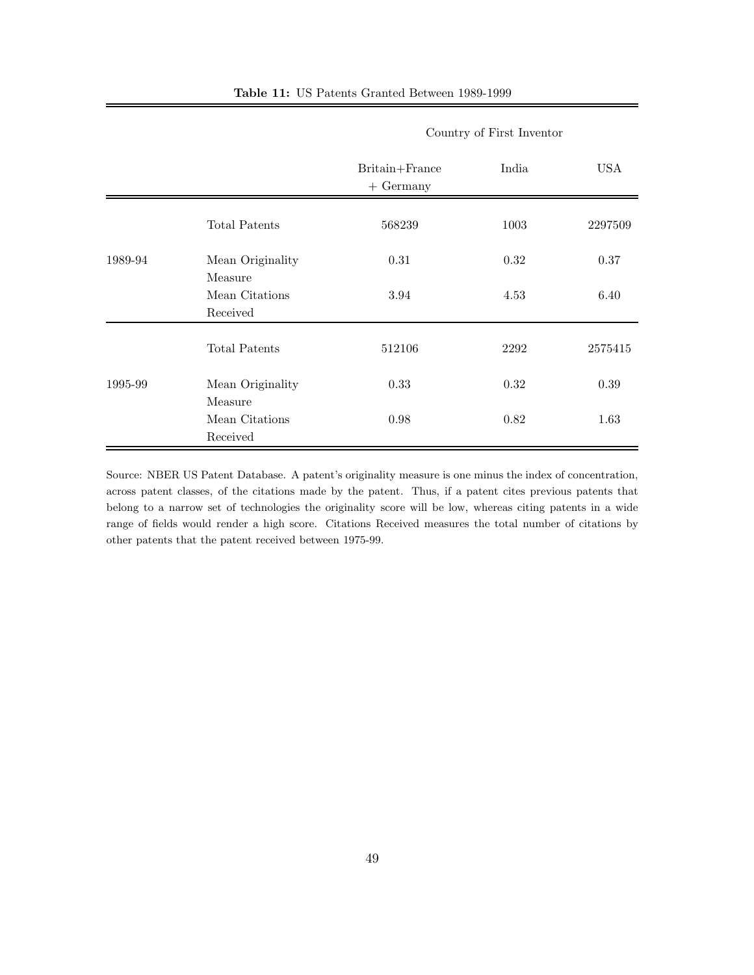| <b>Table 11:</b> US Patents Granted Between 1989-1999 |
|-------------------------------------------------------|
|-------------------------------------------------------|

|         |                             | Britain+France<br>$+$ Germany | India | <b>USA</b> |
|---------|-----------------------------|-------------------------------|-------|------------|
|         | Total Patents               | 568239                        | 1003  | 2297509    |
| 1989-94 | Mean Originality<br>Measure | 0.31                          | 0.32  | 0.37       |
|         | Mean Citations<br>Received  | 3.94                          | 4.53  | 6.40       |
|         | <b>Total Patents</b>        | 512106                        | 2292  | 2575415    |
| 1995-99 | Mean Originality<br>Measure | 0.33                          | 0.32  | 0.39       |
|         | Mean Citations<br>Received  | 0.98                          | 0.82  | 1.63       |

## Country of First Inventor

Source: NBER US Patent Database. A patent's originality measure is one minus the index of concentration, across patent classes, of the citations made by the patent. Thus, if a patent cites previous patents that belong to a narrow set of technologies the originality score will be low, whereas citing patents in a wide range of fields would render a high score. Citations Received measures the total number of citations by other patents that the patent received between 1975-99.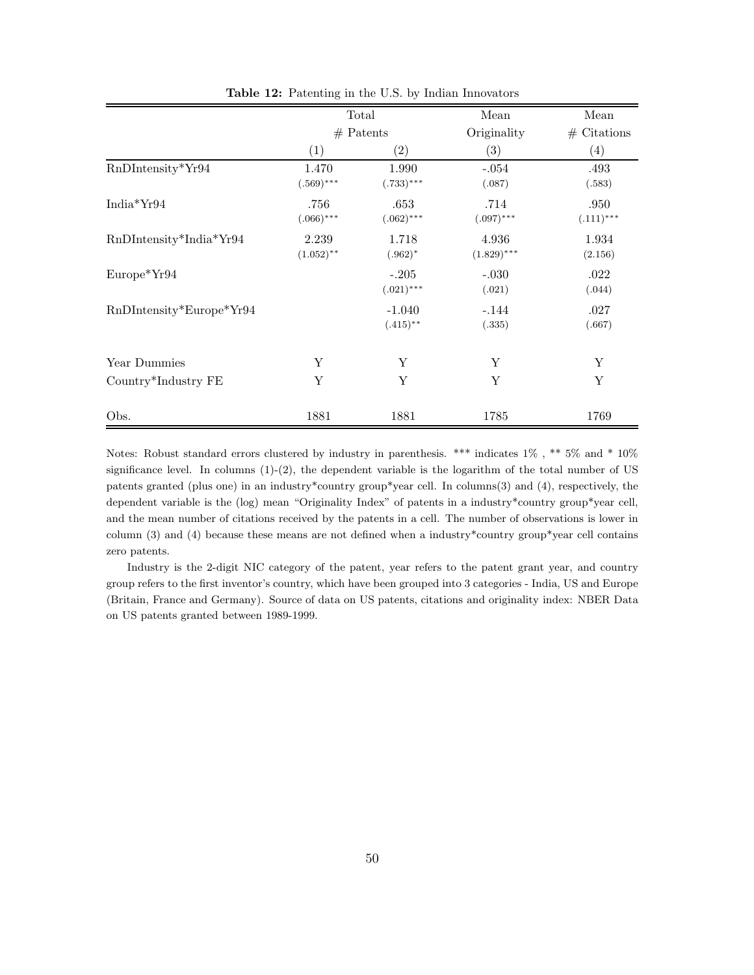|                            | Total<br>$#$ Patents  |                         | Mean                   | Mean                |
|----------------------------|-----------------------|-------------------------|------------------------|---------------------|
|                            |                       |                         | Originality            | $#$ Citations       |
|                            | (1)                   | $\left( 2\right)$       | (3)                    | (4)                 |
| RnDIntensity*Yr94          | 1.470<br>$(.569)$ *** | 1.990<br>$(.733)***$    | $-.054$<br>(.087)      | .493<br>(.583)      |
| India $Yr94$               | .756<br>$(.066)$ ***  | .653<br>$(.062)$ ***    | .714<br>$(.097)$ ***   | .950<br>$(.111)***$ |
| RnDIntensity*India*Yr94    | 2.239<br>$(1.052)$ ** | 1.718<br>$(.962)^*$     | 4.936<br>$(1.829)$ *** | 1.934<br>(2.156)    |
| Europe*Yr94                |                       | $-.205$<br>$(.021)$ *** | $-.030$<br>(.021)      | .022<br>(.044)      |
| $RnDIntensity*Europe*Yr94$ |                       | $-1.040$<br>$(.415)$ ** | $-.144$<br>(.335)      | .027<br>(.667)      |
| Year Dummies               | Y                     | Υ                       | Y                      | Y                   |
| Country*Industry FE        | Y                     | Y                       | Y                      | Y                   |
| Obs.                       | 1881                  | 1881                    | 1785                   | 1769                |

Table 12: Patenting in the U.S. by Indian Innovators

Notes: Robust standard errors clustered by industry in parenthesis. \*\*\* indicates 1% , \*\* 5% and \* 10% significance level. In columns  $(1)-(2)$ , the dependent variable is the logarithm of the total number of US patents granted (plus one) in an industry\*country group\*year cell. In columns(3) and (4), respectively, the dependent variable is the (log) mean "Originality Index" of patents in a industry\*country group\*year cell, and the mean number of citations received by the patents in a cell. The number of observations is lower in column (3) and (4) because these means are not defined when a industry\*country group\*year cell contains zero patents.

Industry is the 2-digit NIC category of the patent, year refers to the patent grant year, and country group refers to the first inventor's country, which have been grouped into 3 categories - India, US and Europe (Britain, France and Germany). Source of data on US patents, citations and originality index: NBER Data on US patents granted between 1989-1999.